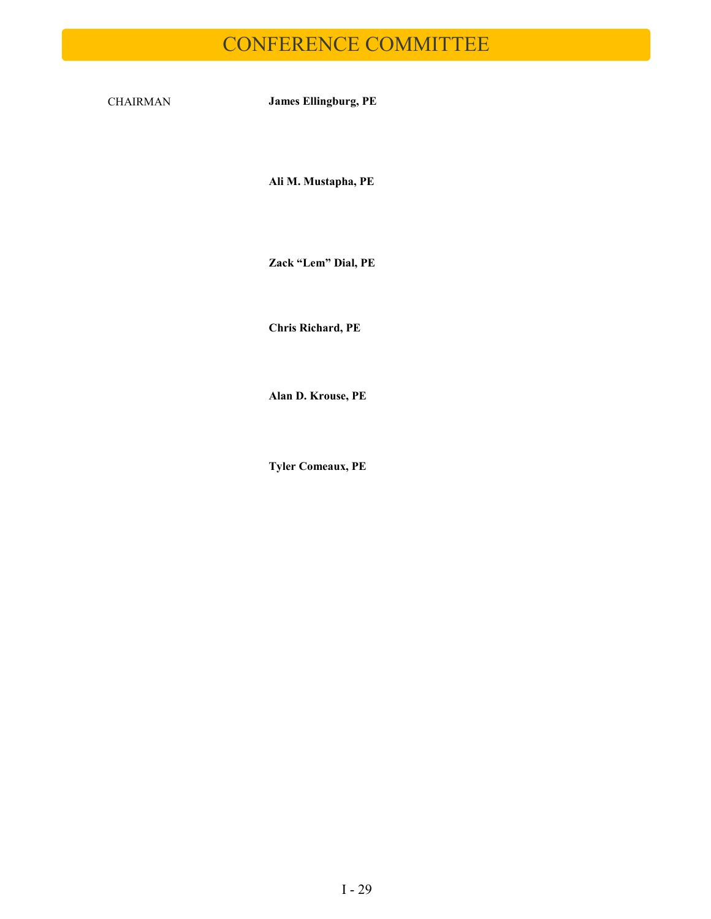# CONFERENCE COMMITTEE

CHAIRMAN **James Ellingburg, PE**

**Ali M. Mustapha, PE**

**Zack "Lem" Dial, PE**

**Chris Richard, PE**

**Alan D. Krouse, PE**

**Tyler Comeaux, PE**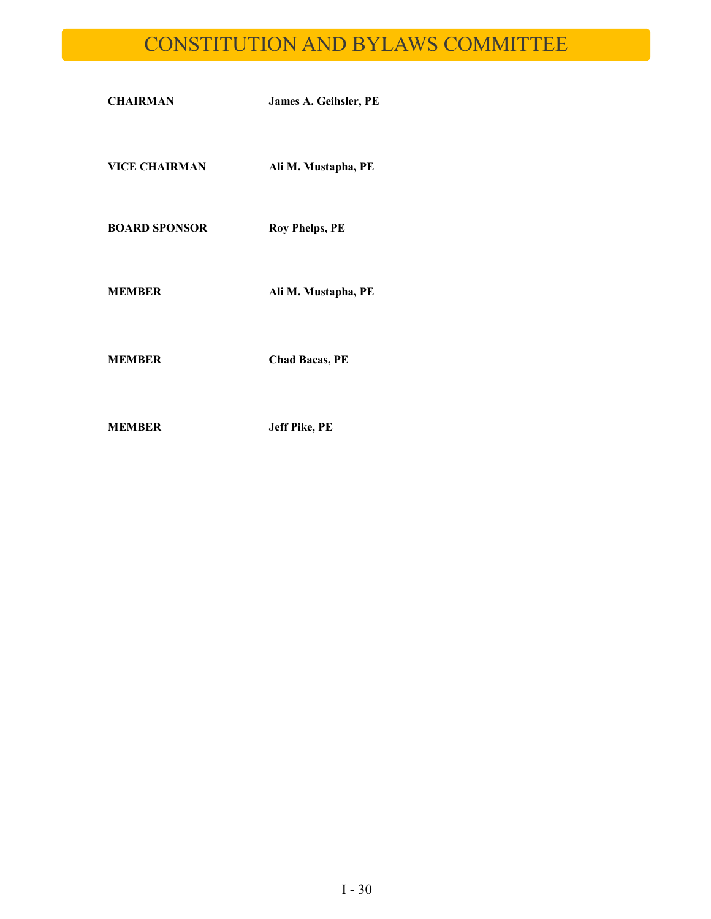# CONSTITUTION AND BYLAWS COMMITTEE

| <b>CHAIRMAN</b>      | James A. Geihsler, PE |
|----------------------|-----------------------|
| <b>VICE CHAIRMAN</b> | Ali M. Mustapha, PE   |
| <b>BOARD SPONSOR</b> | <b>Roy Phelps, PE</b> |
| <b>MEMBER</b>        | Ali M. Mustapha, PE   |
| MEMBER               | <b>Chad Bacas, PE</b> |

**MEMBER Jeff Pike, PE**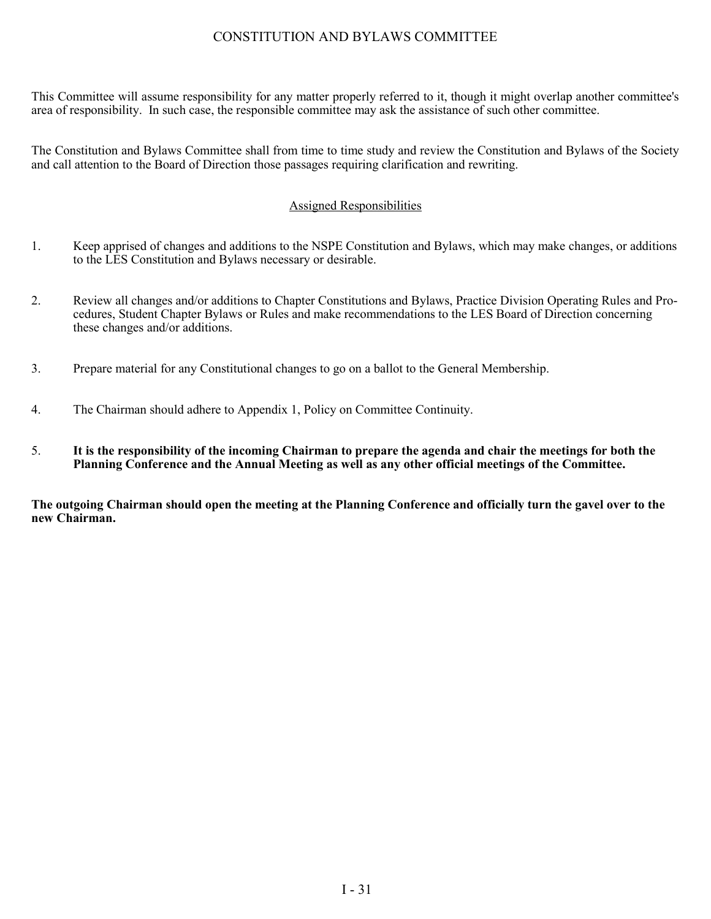### CONSTITUTION AND BYLAWS COMMITTEE

This Committee will assume responsibility for any matter properly referred to it, though it might overlap another committee's area of responsibility. In such case, the responsible committee may ask the assistance of such other committee.

The Constitution and Bylaws Committee shall from time to time study and review the Constitution and Bylaws of the Society and call attention to the Board of Direction those passages requiring clarification and rewriting.

#### Assigned Responsibilities

- 1. Keep apprised of changes and additions to the NSPE Constitution and Bylaws, which may make changes, or additions to the LES Constitution and Bylaws necessary or desirable.
- 2. Review all changes and/or additions to Chapter Constitutions and Bylaws, Practice Division Operating Rules and Procedures, Student Chapter Bylaws or Rules and make recommendations to the LES Board of Direction concerning these changes and/or additions.
- 3. Prepare material for any Constitutional changes to go on a ballot to the General Membership.
- 4. The Chairman should adhere to Appendix 1, Policy on Committee Continuity.
- 5. **It is the responsibility of the incoming Chairman to prepare the agenda and chair the meetings for both the Planning Conference and the Annual Meeting as well as any other official meetings of the Committee.**

**The outgoing Chairman should open the meeting at the Planning Conference and officially turn the gavel over to the new Chairman.**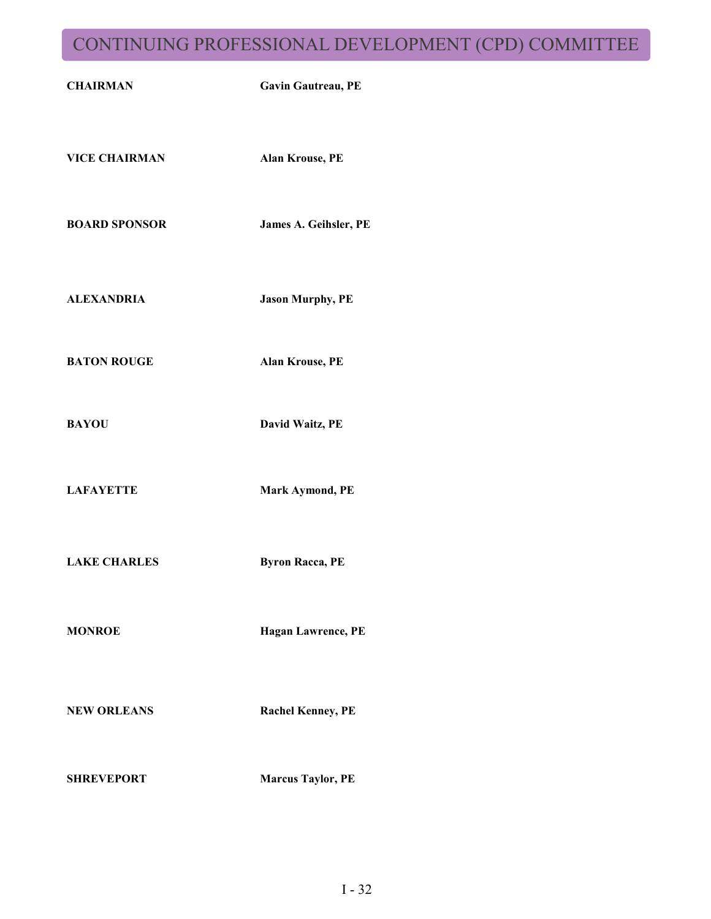# CONTINUING PROFESSIONAL DEVELOPMENT (CPD) COMMITTEE

| <b>CHAIRMAN</b>      | Gavin Gautreau, PE       |
|----------------------|--------------------------|
| <b>VICE CHAIRMAN</b> | Alan Krouse, PE          |
| <b>BOARD SPONSOR</b> | James A. Geihsler, PE    |
| <b>ALEXANDRIA</b>    | <b>Jason Murphy, PE</b>  |
| <b>BATON ROUGE</b>   | Alan Krouse, PE          |
| <b>BAYOU</b>         | David Waitz, PE          |
| <b>LAFAYETTE</b>     | Mark Aymond, PE          |
| <b>LAKE CHARLES</b>  | <b>Byron Racca, PE</b>   |
| <b>MONROE</b>        | Hagan Lawrence, PE       |
| <b>NEW ORLEANS</b>   | <b>Rachel Kenney, PE</b> |
| <b>SHREVEPORT</b>    | <b>Marcus Taylor, PE</b> |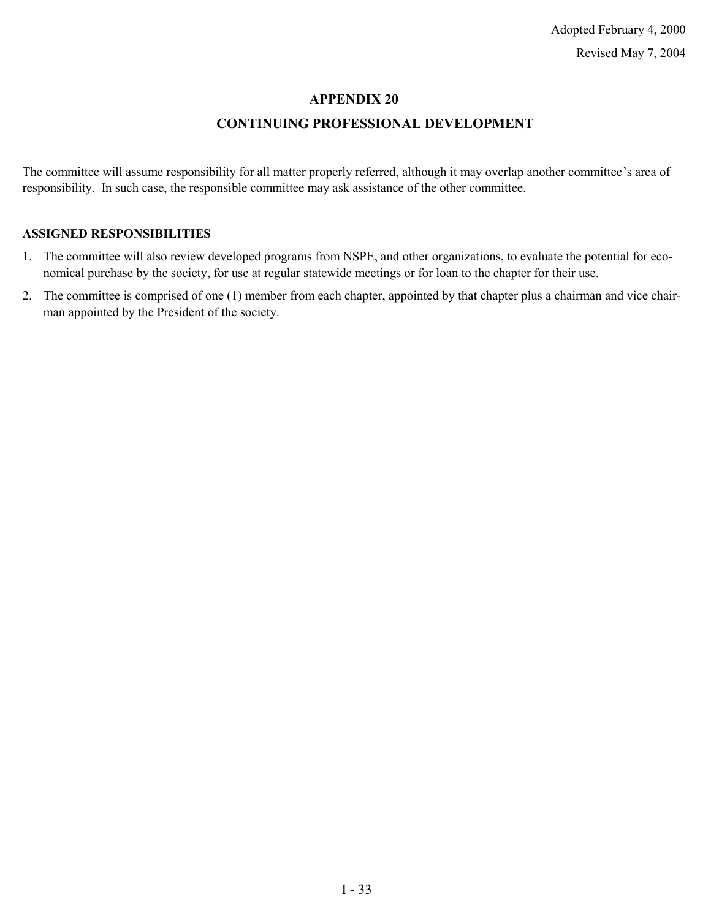### **APPENDIX 20**

### **CONTINUING PROFESSIONAL DEVELOPMENT**

The committee will assume responsibility for all matter properly referred, although it may overlap another committee's area of responsibility. In such case, the responsible committee may ask assistance of the other committee.

#### **ASSIGNED RESPONSIBILITIES**

- 1. The committee will also review developed programs from NSPE, and other organizations, to evaluate the potential for economical purchase by the society, for use at regular statewide meetings or for loan to the chapter for their use.
- 2. The committee is comprised of one (1) member from each chapter, appointed by that chapter plus a chairman and vice chairman appointed by the President of the society.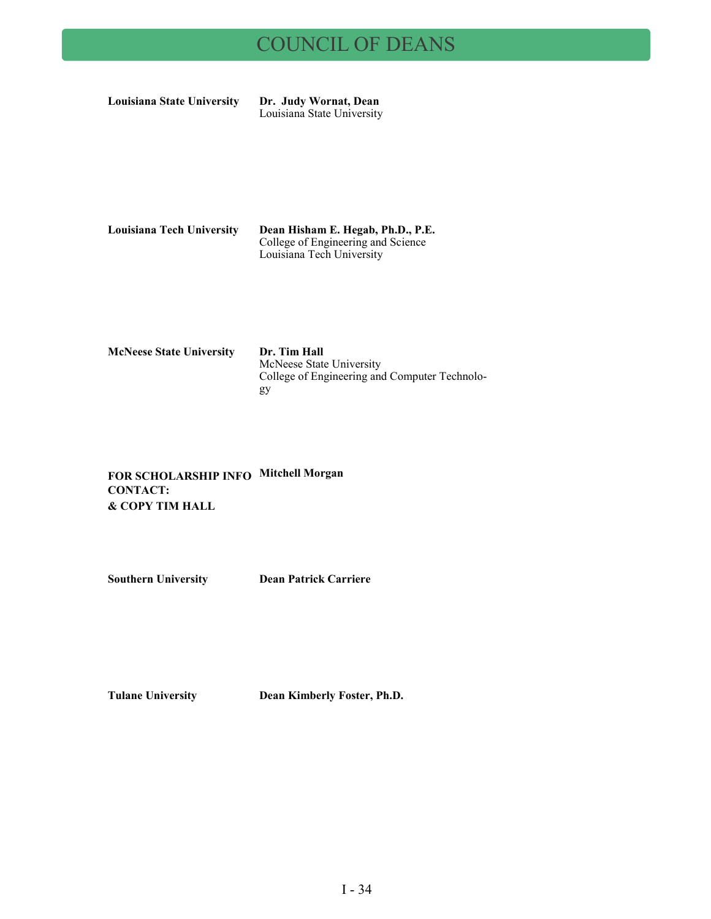# COUNCIL OF DEANS

**Louisiana State University Dr. Judy Wornat, Dean**

Louisiana State University

| Louisiana Tech University | Dean Hisham E. Hegab, Ph.D., P.E.  |
|---------------------------|------------------------------------|
|                           | College of Engineering and Science |
|                           | Louisiana Tech University          |

| <b>McNeese State University</b> | Dr. Tim Hall<br>McNeese State University<br>College of Engineering and Computer Technolo- |
|---------------------------------|-------------------------------------------------------------------------------------------|
|                                 | gy                                                                                        |

**FOR SCHOLARSHIP INFO Mitchell Morgan CONTACT: & COPY TIM HALL**

**Southern University Dean Patrick Carriere**

**Tulane University Dean Kimberly Foster, Ph.D.**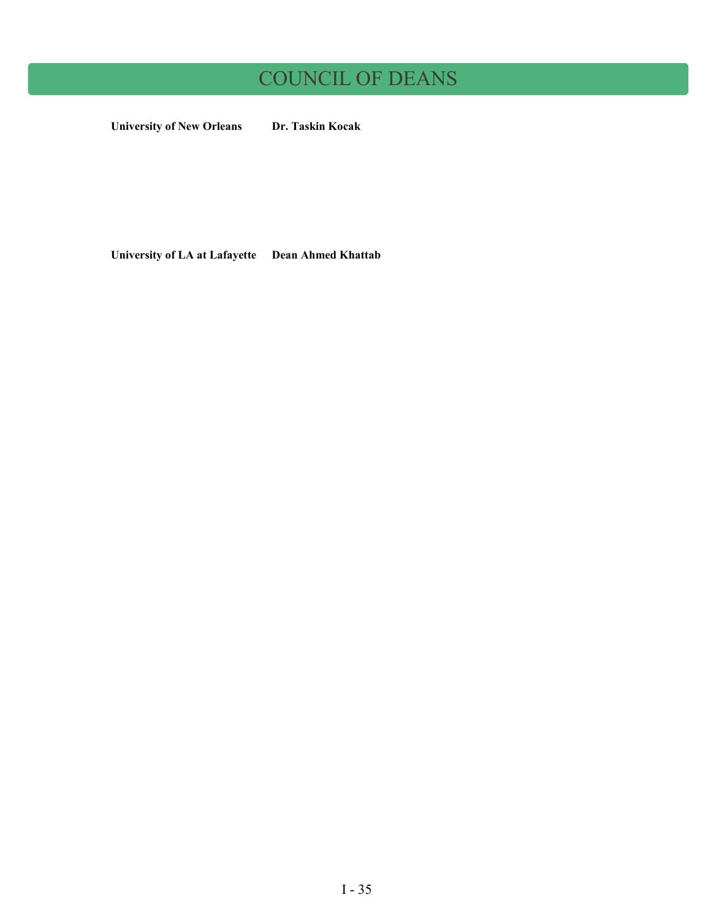# COUNCIL OF DEANS

**University of New Orleans Dr. Taskin Kocak**

**University of LA at Lafayette Dean Ahmed Khattab**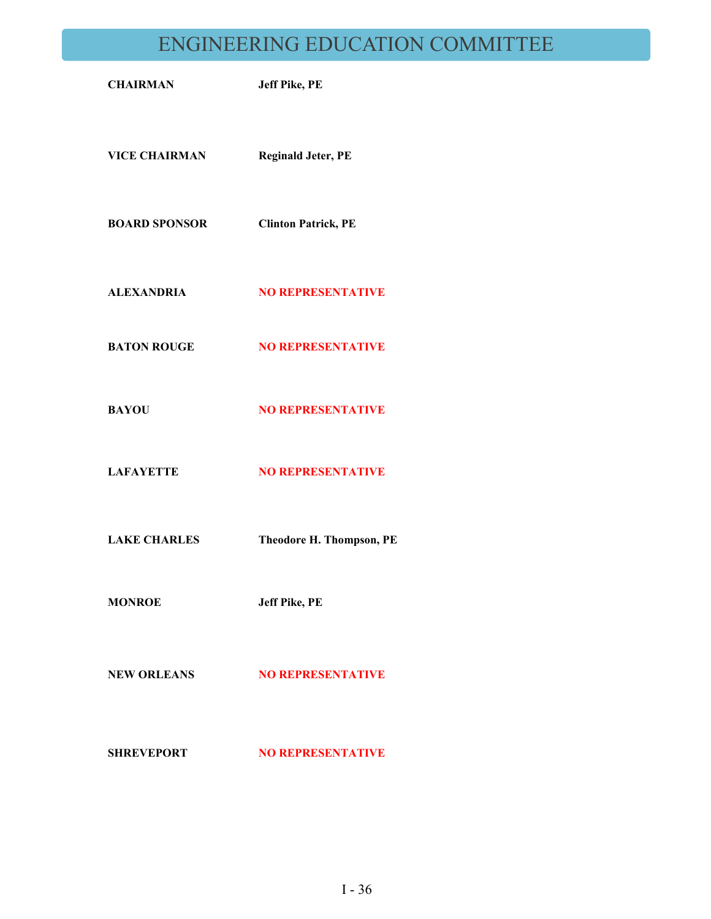# ENGINEERING EDUCATION COMMITTEE

| <b>CHAIRMAN</b>      | <b>Jeff Pike, PE</b>       |
|----------------------|----------------------------|
| <b>VICE CHAIRMAN</b> | <b>Reginald Jeter, PE</b>  |
| <b>BOARD SPONSOR</b> | <b>Clinton Patrick, PE</b> |
| <b>ALEXANDRIA</b>    | <b>NO REPRESENTATIVE</b>   |
| <b>BATON ROUGE</b>   | <b>NO REPRESENTATIVE</b>   |
| <b>BAYOU</b>         | <b>NO REPRESENTATIVE</b>   |
| <b>LAFAYETTE</b>     | <b>NO REPRESENTATIVE</b>   |
| <b>LAKE CHARLES</b>  | Theodore H. Thompson, PE   |
| <b>MONROE</b>        | <b>Jeff Pike, PE</b>       |
| <b>NEW ORLEANS</b>   | <b>NO REPRESENTATIVE</b>   |
| <b>SHREVEPORT</b>    | <b>NO REPRESENTATIVE</b>   |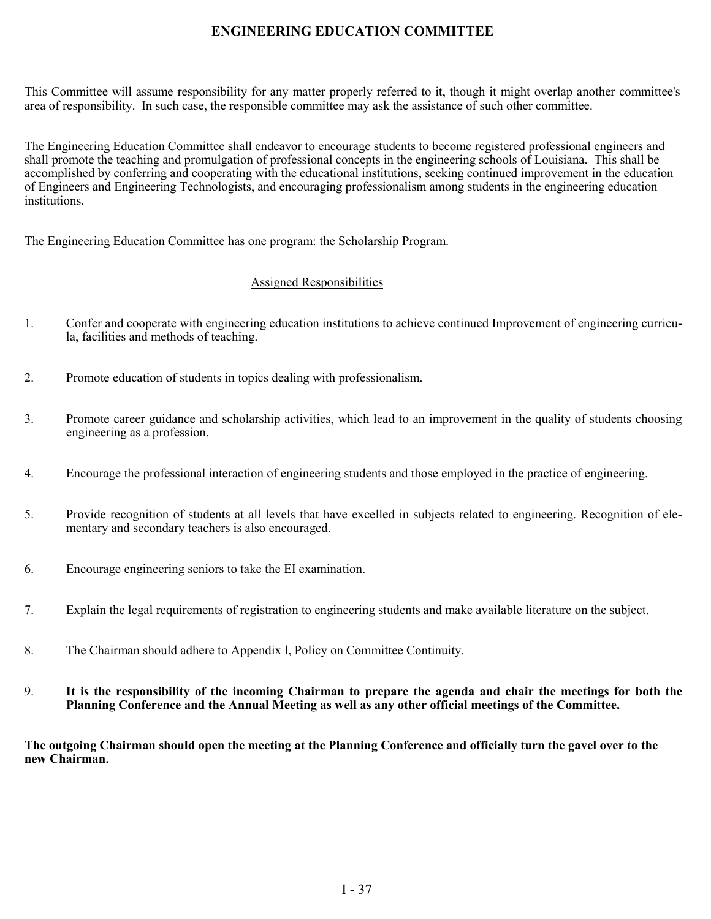### **ENGINEERING EDUCATION COMMITTEE**

This Committee will assume responsibility for any matter properly referred to it, though it might overlap another committee's area of responsibility. In such case, the responsible committee may ask the assistance of such other committee.

The Engineering Education Committee shall endeavor to encourage students to become registered professional engineers and shall promote the teaching and promulgation of professional concepts in the engineering schools of Louisiana. This shall be accomplished by conferring and cooperating with the educational institutions, seeking continued improvement in the education of Engineers and Engineering Technologists, and encouraging professionalism among students in the engineering education institutions.

The Engineering Education Committee has one program: the Scholarship Program.

#### Assigned Responsibilities

- 1. Confer and cooperate with engineering education institutions to achieve continued Improvement of engineering curricula, facilities and methods of teaching.
- 2. Promote education of students in topics dealing with professionalism.
- 3. Promote career guidance and scholarship activities, which lead to an improvement in the quality of students choosing engineering as a profession.
- 4. Encourage the professional interaction of engineering students and those employed in the practice of engineering.
- 5. Provide recognition of students at all levels that have excelled in subjects related to engineering. Recognition of elementary and secondary teachers is also encouraged.
- 6. Encourage engineering seniors to take the EI examination.
- 7. Explain the legal requirements of registration to engineering students and make available literature on the subject.
- 8. The Chairman should adhere to Appendix l, Policy on Committee Continuity.
- 9. **It is the responsibility of the incoming Chairman to prepare the agenda and chair the meetings for both the Planning Conference and the Annual Meeting as well as any other official meetings of the Committee.**

**The outgoing Chairman should open the meeting at the Planning Conference and officially turn the gavel over to the new Chairman.**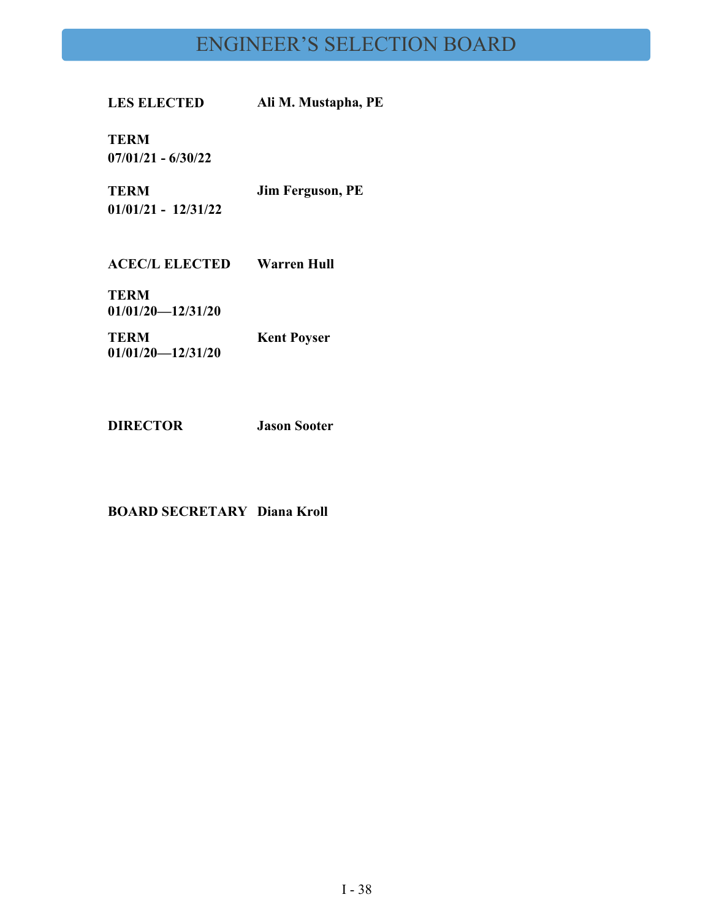# ENGINEER'S SELECTION BOARD

**LES ELECTED Ali M. Mustapha, PE**

**TERM 07/01/21 - 6/30/22**

**TERM Jim Ferguson, PE**

**01/01/21 - 12/31/22**

**ACEC/L ELECTED Warren Hull**

**TERM 01/01/20—12/31/20**

**TERM 01/01/20—12/31/20 Kent Poyser**

**DIRECTOR Jason Sooter**

**BOARD SECRETARY Diana Kroll**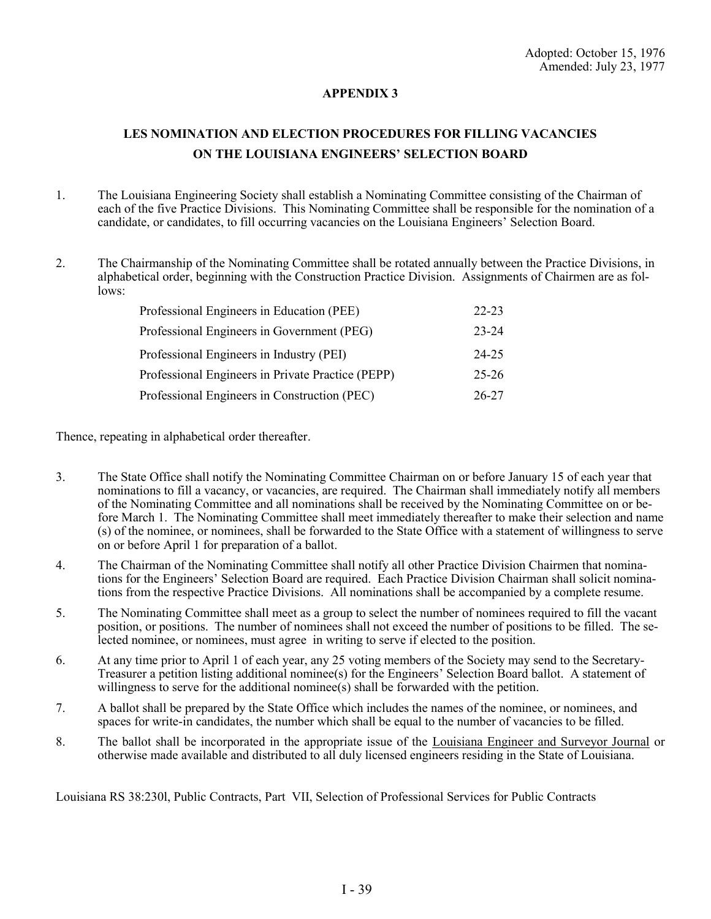#### **APPENDIX 3**

# **LES NOMINATION AND ELECTION PROCEDURES FOR FILLING VACANCIES ON THE LOUISIANA ENGINEERS' SELECTION BOARD**

- 1. The Louisiana Engineering Society shall establish a Nominating Committee consisting of the Chairman of each of the five Practice Divisions. This Nominating Committee shall be responsible for the nomination of a candidate, or candidates, to fill occurring vacancies on the Louisiana Engineers' Selection Board.
- 2. The Chairmanship of the Nominating Committee shall be rotated annually between the Practice Divisions, in alphabetical order, beginning with the Construction Practice Division. Assignments of Chairmen are as follows:

| Professional Engineers in Education (PEE)         | $22 - 23$ |
|---------------------------------------------------|-----------|
| Professional Engineers in Government (PEG)        | 23-24     |
| Professional Engineers in Industry (PEI)          | $24 - 25$ |
| Professional Engineers in Private Practice (PEPP) | $25 - 26$ |
| Professional Engineers in Construction (PEC)      | 26-27     |

Thence, repeating in alphabetical order thereafter.

- 3. The State Office shall notify the Nominating Committee Chairman on or before January 15 of each year that nominations to fill a vacancy, or vacancies, are required. The Chairman shall immediately notify all members of the Nominating Committee and all nominations shall be received by the Nominating Committee on or before March 1. The Nominating Committee shall meet immediately thereafter to make their selection and name (s) of the nominee, or nominees, shall be forwarded to the State Office with a statement of willingness to serve on or before April 1 for preparation of a ballot.
- 4. The Chairman of the Nominating Committee shall notify all other Practice Division Chairmen that nominations for the Engineers' Selection Board are required. Each Practice Division Chairman shall solicit nominations from the respective Practice Divisions. All nominations shall be accompanied by a complete resume.
- 5. The Nominating Committee shall meet as a group to select the number of nominees required to fill the vacant position, or positions. The number of nominees shall not exceed the number of positions to be filled. The selected nominee, or nominees, must agree in writing to serve if elected to the position.
- 6. At any time prior to April 1 of each year, any 25 voting members of the Society may send to the Secretary-Treasurer a petition listing additional nominee(s) for the Engineers' Selection Board ballot. A statement of willingness to serve for the additional nominee(s) shall be forwarded with the petition.
- 7. A ballot shall be prepared by the State Office which includes the names of the nominee, or nominees, and spaces for write-in candidates, the number which shall be equal to the number of vacancies to be filled.
- 8. The ballot shall be incorporated in the appropriate issue of the Louisiana Engineer and Surveyor Journal or otherwise made available and distributed to all duly licensed engineers residing in the State of Louisiana.

Louisiana RS 38:230l, Public Contracts, Part VII, Selection of Professional Services for Public Contracts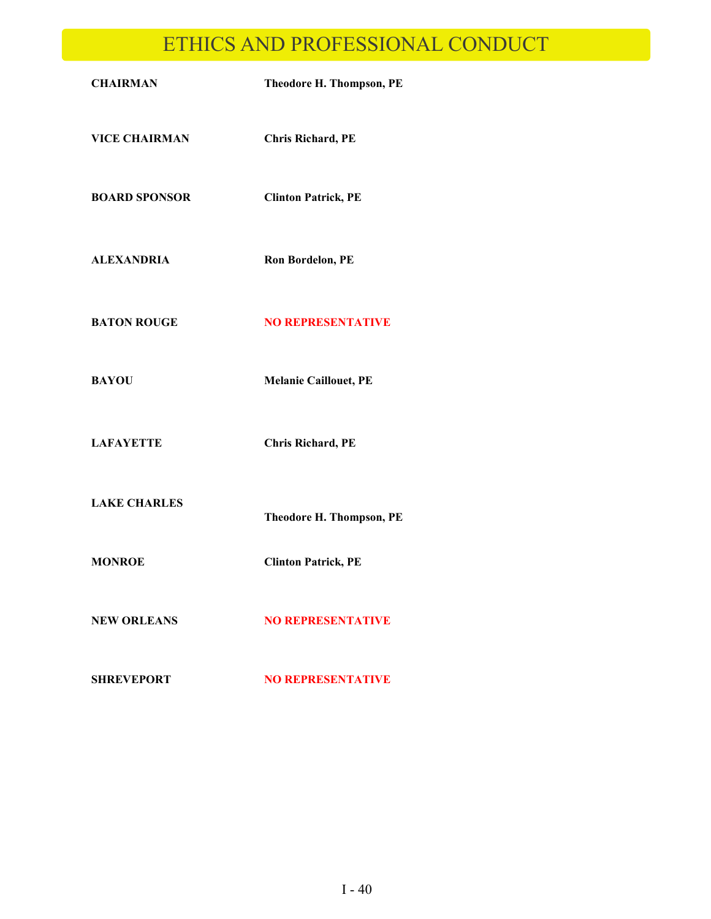# ETHICS AND PROFESSIONAL CONDUCT

| <b>CHAIRMAN</b>      | Theodore H. Thompson, PE     |
|----------------------|------------------------------|
| <b>VICE CHAIRMAN</b> | <b>Chris Richard, PE</b>     |
| <b>BOARD SPONSOR</b> | <b>Clinton Patrick, PE</b>   |
| <b>ALEXANDRIA</b>    | Ron Bordelon, PE             |
| <b>BATON ROUGE</b>   | <b>NO REPRESENTATIVE</b>     |
| <b>BAYOU</b>         | <b>Melanie Caillouet, PE</b> |
| <b>LAFAYETTE</b>     | <b>Chris Richard, PE</b>     |
| <b>LAKE CHARLES</b>  | Theodore H. Thompson, PE     |
| <b>MONROE</b>        | <b>Clinton Patrick, PE</b>   |
| <b>NEW ORLEANS</b>   | <b>NO REPRESENTATIVE</b>     |
| <b>SHREVEPORT</b>    | <b>NO REPRESENTATIVE</b>     |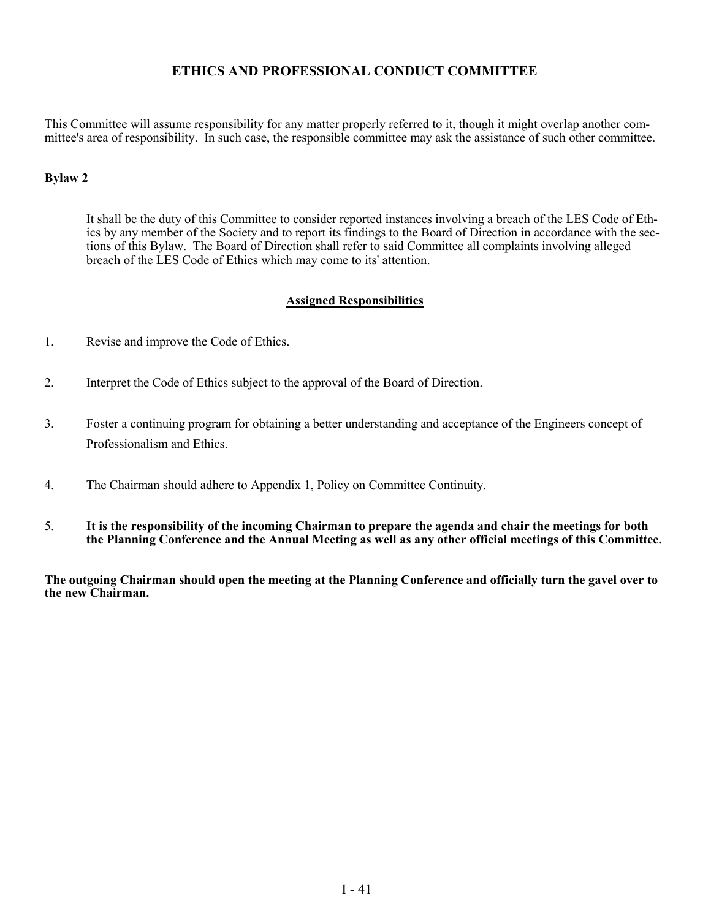### **ETHICS AND PROFESSIONAL CONDUCT COMMITTEE**

This Committee will assume responsibility for any matter properly referred to it, though it might overlap another committee's area of responsibility. In such case, the responsible committee may ask the assistance of such other committee.

#### **Bylaw 2**

It shall be the duty of this Committee to consider reported instances involving a breach of the LES Code of Ethics by any member of the Society and to report its findings to the Board of Direction in accordance with the sections of this Bylaw. The Board of Direction shall refer to said Committee all complaints involving alleged breach of the LES Code of Ethics which may come to its' attention.

#### **Assigned Responsibilities**

- 1. Revise and improve the Code of Ethics.
- 2. Interpret the Code of Ethics subject to the approval of the Board of Direction.
- 3. Foster a continuing program for obtaining a better understanding and acceptance of the Engineers concept of Professionalism and Ethics.
- 4. The Chairman should adhere to Appendix 1, Policy on Committee Continuity.
- 5. **It is the responsibility of the incoming Chairman to prepare the agenda and chair the meetings for both the Planning Conference and the Annual Meeting as well as any other official meetings of this Committee.**

**The outgoing Chairman should open the meeting at the Planning Conference and officially turn the gavel over to the new Chairman.**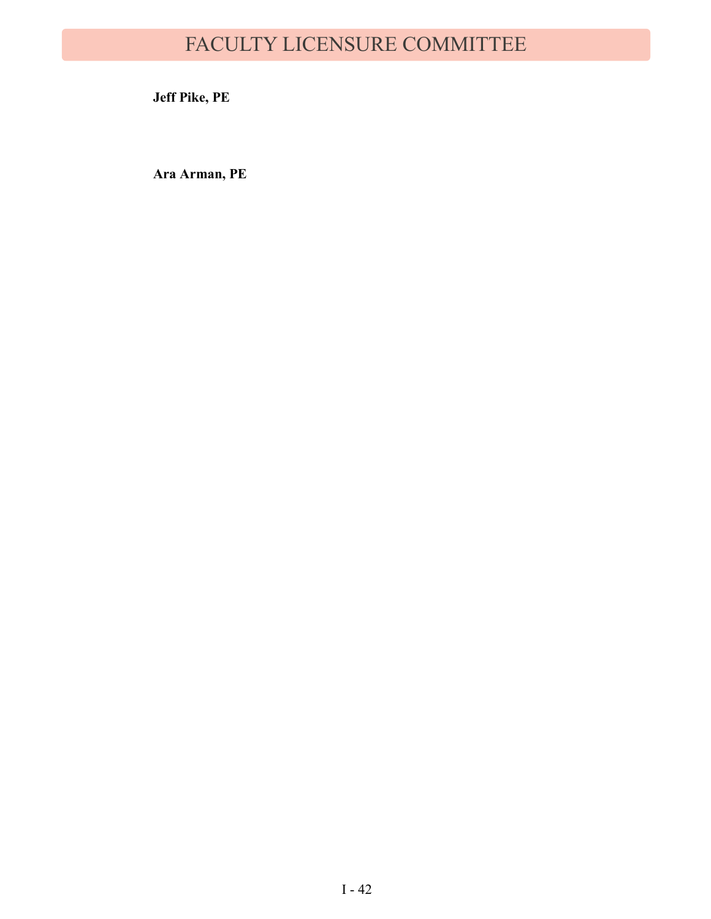# FACULTY LICENSURE COMMITTEE

**Jeff Pike, PE**

**Ara Arman, PE**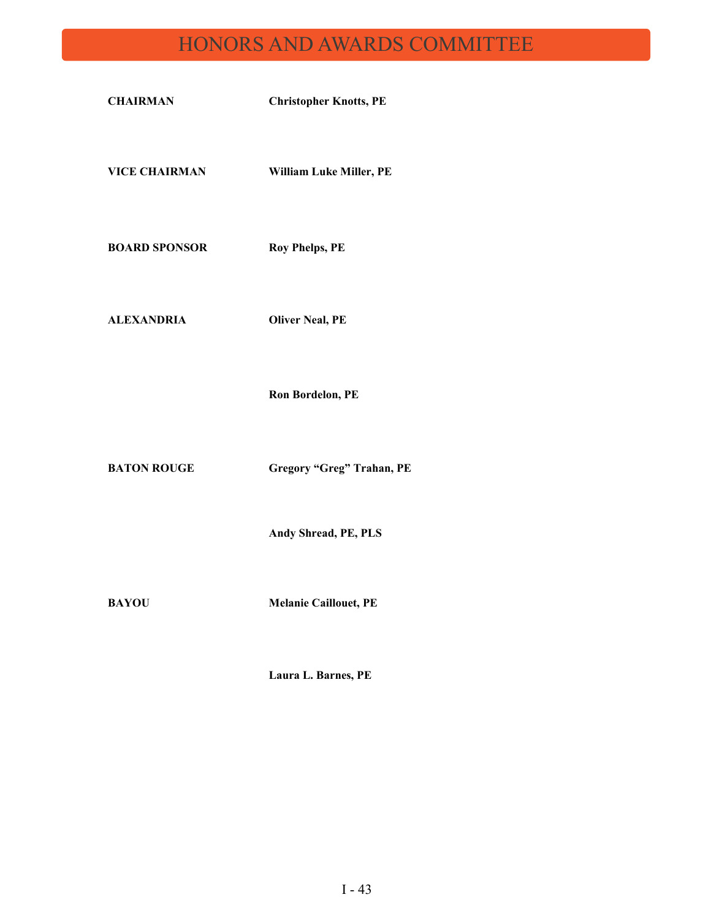# HONORS AND AWARDS COMMITTEE

| <b>CHAIRMAN</b>      | <b>Christopher Knotts, PE</b>    |
|----------------------|----------------------------------|
| <b>VICE CHAIRMAN</b> | William Luke Miller, PE          |
| <b>BOARD SPONSOR</b> | <b>Roy Phelps, PE</b>            |
| <b>ALEXANDRIA</b>    | <b>Oliver Neal, PE</b>           |
|                      | <b>Ron Bordelon, PE</b>          |
| <b>BATON ROUGE</b>   | <b>Gregory "Greg" Trahan, PE</b> |
|                      | Andy Shread, PE, PLS             |

**BAYOU Melanie Caillouet, PE**

**Laura L. Barnes, PE**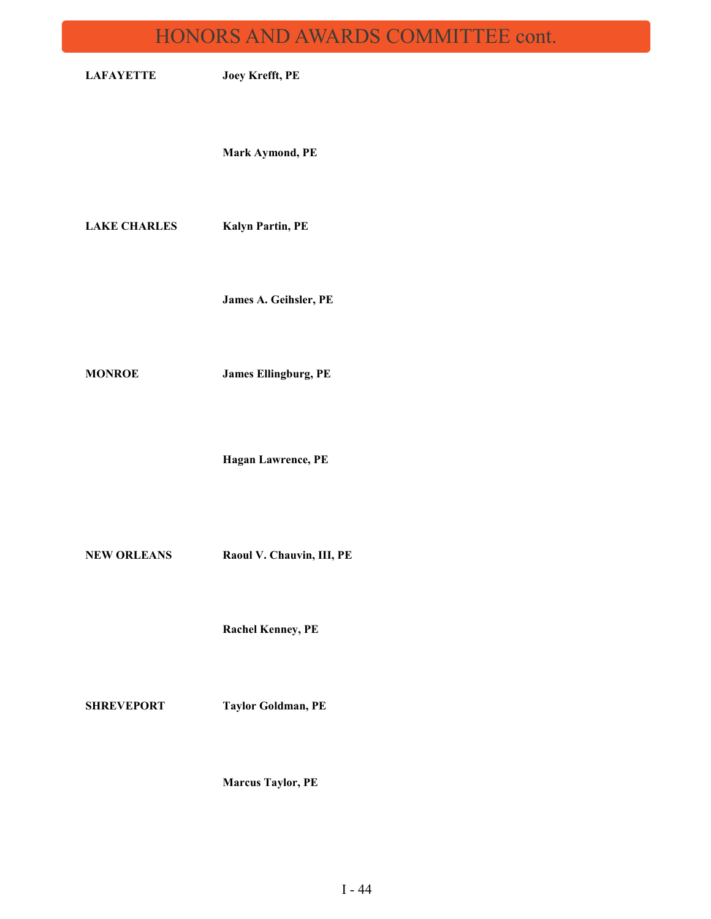# HONORS AND AWARDS COMMITTEE cont.

| <b>LAFAYETTE</b>    | Joey Krefft, PE             |
|---------------------|-----------------------------|
|                     | Mark Aymond, PE             |
| <b>LAKE CHARLES</b> | Kalyn Partin, PE            |
|                     | James A. Geihsler, PE       |
| <b>MONROE</b>       | <b>James Ellingburg, PE</b> |
|                     | Hagan Lawrence, PE          |
| <b>NEW ORLEANS</b>  | Raoul V. Chauvin, III, PE   |
|                     | <b>Rachel Kenney, PE</b>    |
| <b>SHREVEPORT</b>   | <b>Taylor Goldman, PE</b>   |
|                     | <b>Marcus Taylor, PE</b>    |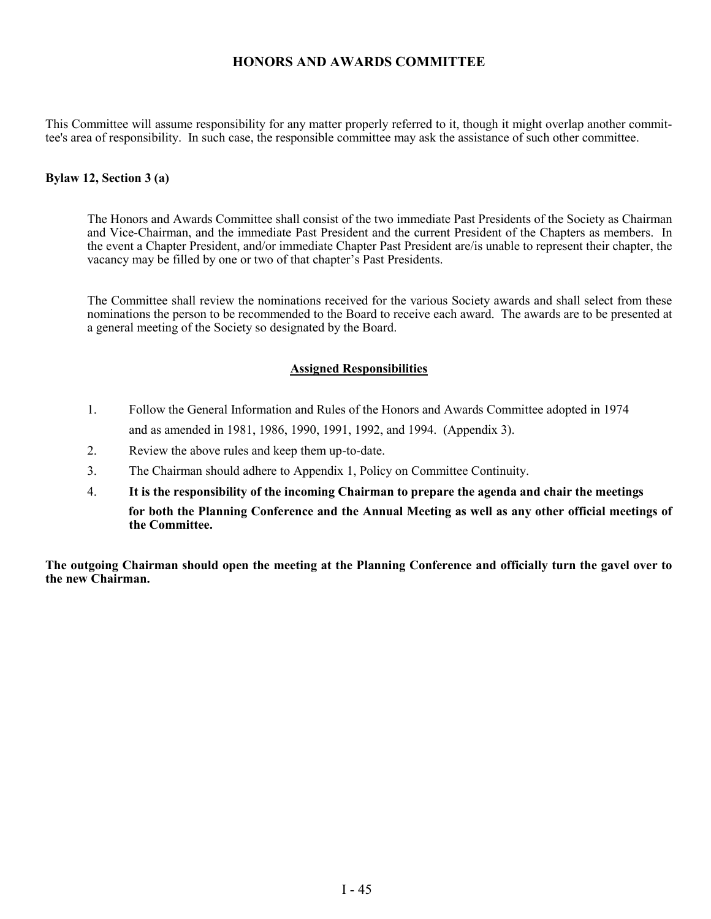### **HONORS AND AWARDS COMMITTEE**

This Committee will assume responsibility for any matter properly referred to it, though it might overlap another committee's area of responsibility. In such case, the responsible committee may ask the assistance of such other committee.

#### **Bylaw 12, Section 3 (a)**

The Honors and Awards Committee shall consist of the two immediate Past Presidents of the Society as Chairman and Vice-Chairman, and the immediate Past President and the current President of the Chapters as members. In the event a Chapter President, and/or immediate Chapter Past President are/is unable to represent their chapter, the vacancy may be filled by one or two of that chapter's Past Presidents.

The Committee shall review the nominations received for the various Society awards and shall select from these nominations the person to be recommended to the Board to receive each award. The awards are to be presented at a general meeting of the Society so designated by the Board.

#### **Assigned Responsibilities**

- 1. Follow the General Information and Rules of the Honors and Awards Committee adopted in 1974 and as amended in 1981, 1986, 1990, 1991, 1992, and 1994. (Appendix 3).
- 2. Review the above rules and keep them up-to-date.
- 3. The Chairman should adhere to Appendix 1, Policy on Committee Continuity.
- 4. **It is the responsibility of the incoming Chairman to prepare the agenda and chair the meetings for both the Planning Conference and the Annual Meeting as well as any other official meetings of the Committee.**

**The outgoing Chairman should open the meeting at the Planning Conference and officially turn the gavel over to the new Chairman.**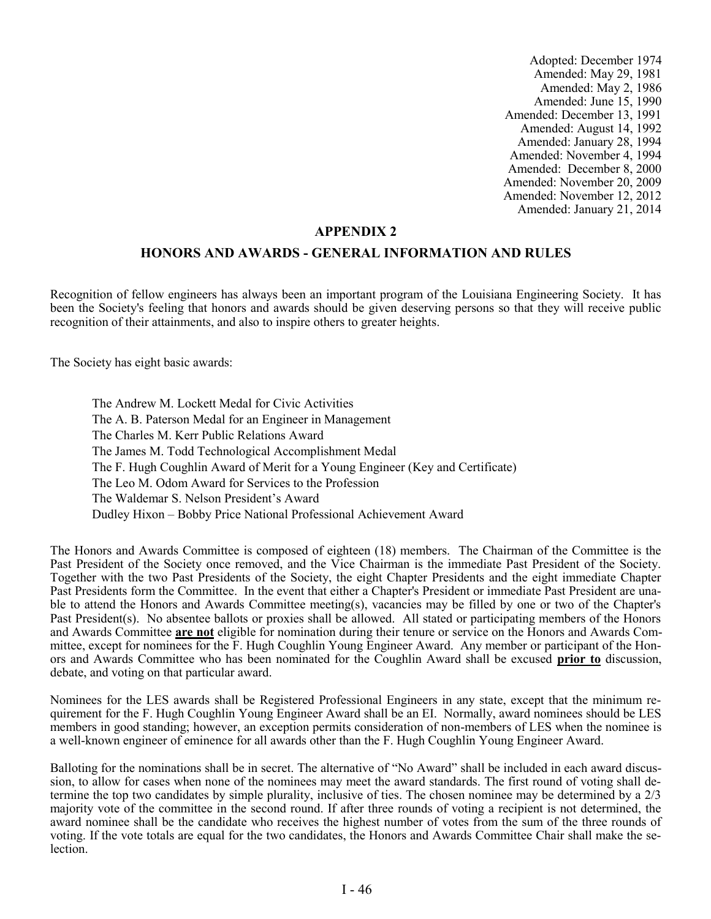Adopted: December 1974 Amended: May 29, 1981 Amended: May 2, 1986 Amended: June 15, 1990 Amended: December 13, 1991 Amended: August 14, 1992 Amended: January 28, 1994 Amended: November 4, 1994 Amended: December 8, 2000 Amended: November 20, 2009 Amended: November 12, 2012 Amended: January 21, 2014

#### **APPENDIX 2**

#### **HONORS AND AWARDS - GENERAL INFORMATION AND RULES**

Recognition of fellow engineers has always been an important program of the Louisiana Engineering Society. It has been the Society's feeling that honors and awards should be given deserving persons so that they will receive public recognition of their attainments, and also to inspire others to greater heights.

The Society has eight basic awards:

The Andrew M. Lockett Medal for Civic Activities The A. B. Paterson Medal for an Engineer in Management The Charles M. Kerr Public Relations Award The James M. Todd Technological Accomplishment Medal The F. Hugh Coughlin Award of Merit for a Young Engineer (Key and Certificate) The Leo M. Odom Award for Services to the Profession The Waldemar S. Nelson President's Award Dudley Hixon – Bobby Price National Professional Achievement Award

The Honors and Awards Committee is composed of eighteen (18) members. The Chairman of the Committee is the Past President of the Society once removed, and the Vice Chairman is the immediate Past President of the Society. Together with the two Past Presidents of the Society, the eight Chapter Presidents and the eight immediate Chapter Past Presidents form the Committee. In the event that either a Chapter's President or immediate Past President are unable to attend the Honors and Awards Committee meeting(s), vacancies may be filled by one or two of the Chapter's Past President(s). No absentee ballots or proxies shall be allowed. All stated or participating members of the Honors and Awards Committee **are not** eligible for nomination during their tenure or service on the Honors and Awards Committee, except for nominees for the F. Hugh Coughlin Young Engineer Award. Any member or participant of the Honors and Awards Committee who has been nominated for the Coughlin Award shall be excused **prior to** discussion, debate, and voting on that particular award.

Nominees for the LES awards shall be Registered Professional Engineers in any state, except that the minimum requirement for the F. Hugh Coughlin Young Engineer Award shall be an EI. Normally, award nominees should be LES members in good standing; however, an exception permits consideration of non-members of LES when the nominee is a well-known engineer of eminence for all awards other than the F. Hugh Coughlin Young Engineer Award.

Balloting for the nominations shall be in secret. The alternative of "No Award" shall be included in each award discussion, to allow for cases when none of the nominees may meet the award standards. The first round of voting shall determine the top two candidates by simple plurality, inclusive of ties. The chosen nominee may be determined by a 2/3 majority vote of the committee in the second round. If after three rounds of voting a recipient is not determined, the award nominee shall be the candidate who receives the highest number of votes from the sum of the three rounds of voting. If the vote totals are equal for the two candidates, the Honors and Awards Committee Chair shall make the selection.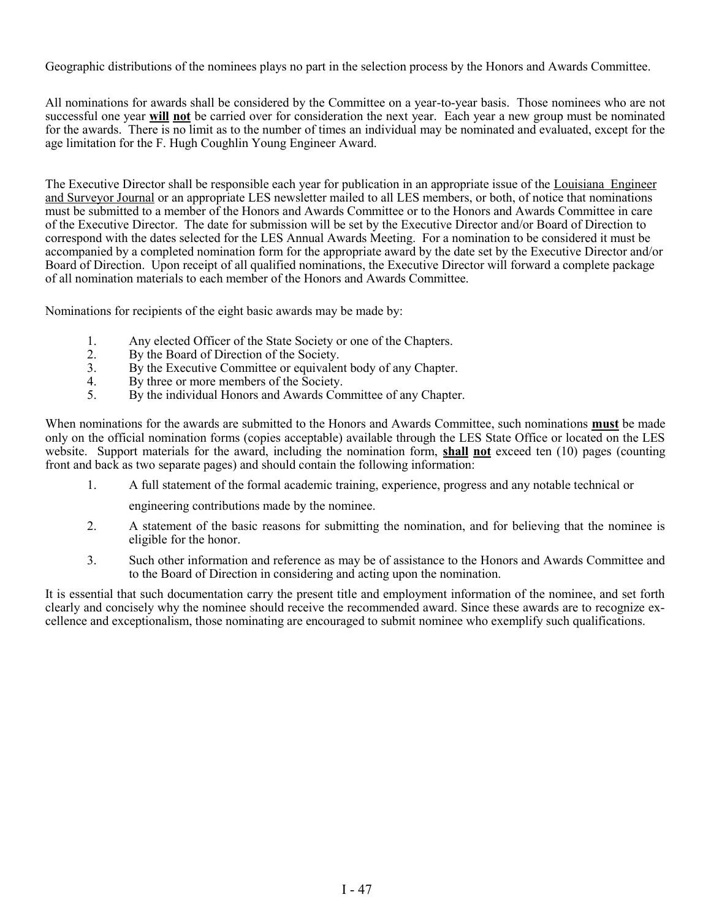Geographic distributions of the nominees plays no part in the selection process by the Honors and Awards Committee.

All nominations for awards shall be considered by the Committee on a year-to-year basis. Those nominees who are not successful one year **will not** be carried over for consideration the next year. Each year a new group must be nominated for the awards. There is no limit as to the number of times an individual may be nominated and evaluated, except for the age limitation for the F. Hugh Coughlin Young Engineer Award.

The Executive Director shall be responsible each year for publication in an appropriate issue of the Louisiana Engineer and Surveyor Journal or an appropriate LES newsletter mailed to all LES members, or both, of notice that nominations must be submitted to a member of the Honors and Awards Committee or to the Honors and Awards Committee in care of the Executive Director. The date for submission will be set by the Executive Director and/or Board of Direction to correspond with the dates selected for the LES Annual Awards Meeting. For a nomination to be considered it must be accompanied by a completed nomination form for the appropriate award by the date set by the Executive Director and/or Board of Direction. Upon receipt of all qualified nominations, the Executive Director will forward a complete package of all nomination materials to each member of the Honors and Awards Committee.

Nominations for recipients of the eight basic awards may be made by:

- 1. Any elected Officer of the State Society or one of the Chapters.<br>2. By the Board of Direction of the Society.
- By the Board of Direction of the Society.
- 3. By the Executive Committee or equivalent body of any Chapter.
- 4. By three or more members of the Society.
- 5. By the individual Honors and Awards Committee of any Chapter.

When nominations for the awards are submitted to the Honors and Awards Committee, such nominations **must** be made only on the official nomination forms (copies acceptable) available through the LES State Office or located on the LES website. Support materials for the award, including the nomination form, **shall not** exceed ten (10) pages (counting front and back as two separate pages) and should contain the following information:

1. A full statement of the formal academic training, experience, progress and any notable technical or

engineering contributions made by the nominee.

- 2. A statement of the basic reasons for submitting the nomination, and for believing that the nominee is eligible for the honor.
- 3. Such other information and reference as may be of assistance to the Honors and Awards Committee and to the Board of Direction in considering and acting upon the nomination.

It is essential that such documentation carry the present title and employment information of the nominee, and set forth clearly and concisely why the nominee should receive the recommended award. Since these awards are to recognize excellence and exceptionalism, those nominating are encouraged to submit nominee who exemplify such qualifications.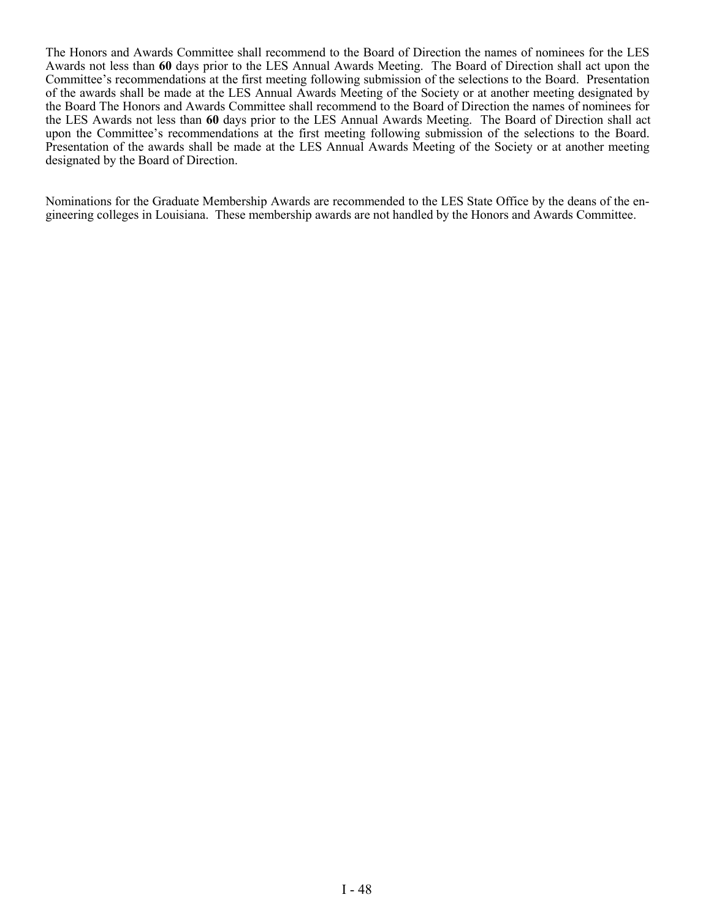The Honors and Awards Committee shall recommend to the Board of Direction the names of nominees for the LES Awards not less than **60** days prior to the LES Annual Awards Meeting. The Board of Direction shall act upon the Committee's recommendations at the first meeting following submission of the selections to the Board. Presentation of the awards shall be made at the LES Annual Awards Meeting of the Society or at another meeting designated by the Board The Honors and Awards Committee shall recommend to the Board of Direction the names of nominees for the LES Awards not less than **60** days prior to the LES Annual Awards Meeting. The Board of Direction shall act upon the Committee's recommendations at the first meeting following submission of the selections to the Board. Presentation of the awards shall be made at the LES Annual Awards Meeting of the Society or at another meeting designated by the Board of Direction.

Nominations for the Graduate Membership Awards are recommended to the LES State Office by the deans of the engineering colleges in Louisiana. These membership awards are not handled by the Honors and Awards Committee.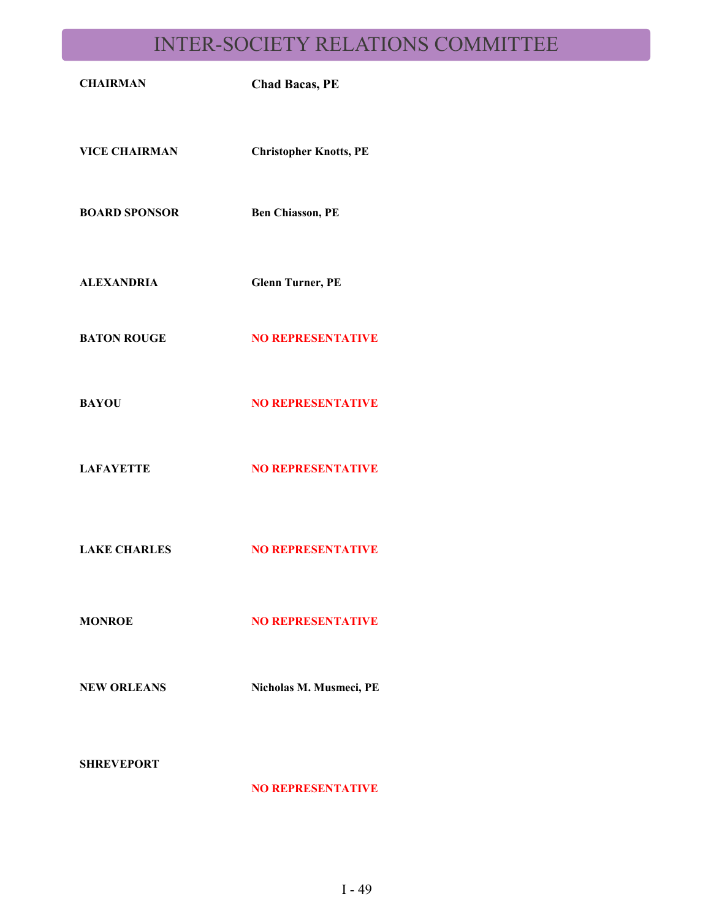# INTER-SOCIETY RELATIONS COMMITTEE

| <b>CHAIRMAN</b>      | <b>Chad Bacas, PE</b>         |
|----------------------|-------------------------------|
| <b>VICE CHAIRMAN</b> | <b>Christopher Knotts, PE</b> |
| <b>BOARD SPONSOR</b> | <b>Ben Chiasson, PE</b>       |
| <b>ALEXANDRIA</b>    | <b>Glenn Turner, PE</b>       |
| <b>BATON ROUGE</b>   | <b>NO REPRESENTATIVE</b>      |
| <b>BAYOU</b>         | <b>NO REPRESENTATIVE</b>      |
| <b>LAFAYETTE</b>     | <b>NO REPRESENTATIVE</b>      |
| <b>LAKE CHARLES</b>  | <b>NO REPRESENTATIVE</b>      |
| <b>MONROE</b>        | <b>NO REPRESENTATIVE</b>      |
| <b>NEW ORLEANS</b>   | Nicholas M. Musmeci, PE       |
|                      |                               |

**SHREVEPORT**

**NO REPRESENTATIVE**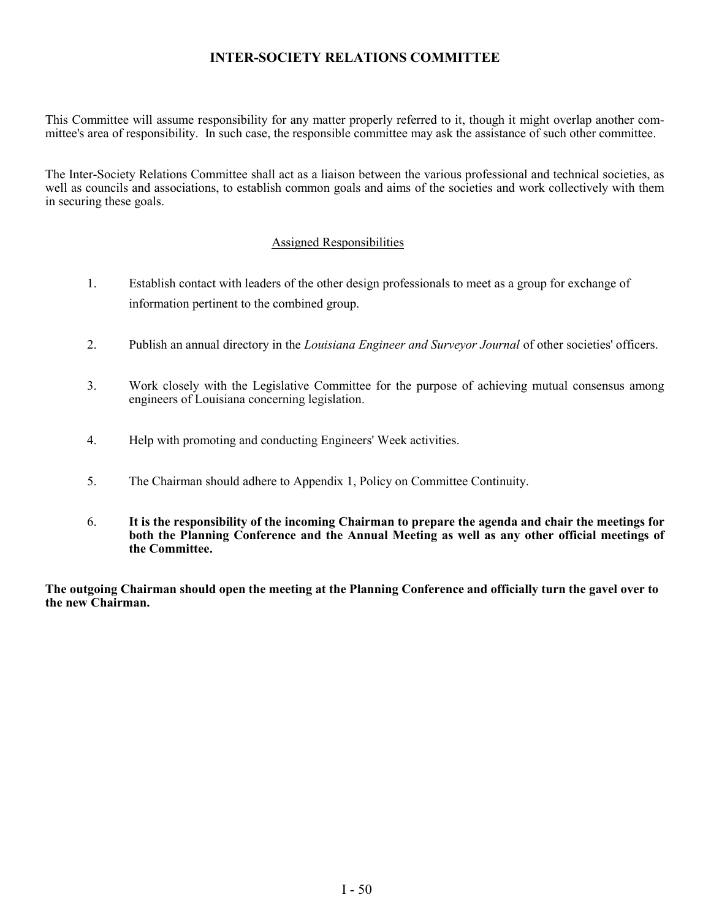### **INTER-SOCIETY RELATIONS COMMITTEE**

This Committee will assume responsibility for any matter properly referred to it, though it might overlap another committee's area of responsibility. In such case, the responsible committee may ask the assistance of such other committee.

The Inter-Society Relations Committee shall act as a liaison between the various professional and technical societies, as well as councils and associations, to establish common goals and aims of the societies and work collectively with them in securing these goals.

### Assigned Responsibilities

- 1. Establish contact with leaders of the other design professionals to meet as a group for exchange of information pertinent to the combined group.
- 2. Publish an annual directory in the *Louisiana Engineer and Surveyor Journal* of other societies' officers.
- 3. Work closely with the Legislative Committee for the purpose of achieving mutual consensus among engineers of Louisiana concerning legislation.
- 4. Help with promoting and conducting Engineers' Week activities.
- 5. The Chairman should adhere to Appendix 1, Policy on Committee Continuity.
- 6. **It is the responsibility of the incoming Chairman to prepare the agenda and chair the meetings for both the Planning Conference and the Annual Meeting as well as any other official meetings of the Committee.**

**The outgoing Chairman should open the meeting at the Planning Conference and officially turn the gavel over to the new Chairman.**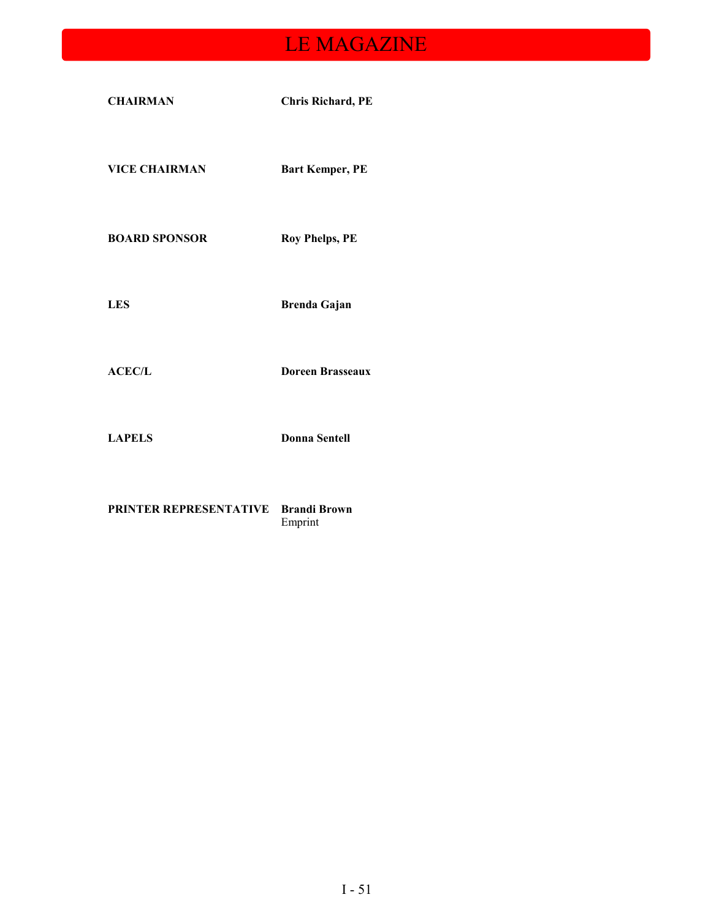# LE MAGAZINE

| <b>CHAIRMAN</b>      | <b>Chris Richard, PE</b> |
|----------------------|--------------------------|
| <b>VICE CHAIRMAN</b> | <b>Bart Kemper, PE</b>   |
| <b>BOARD SPONSOR</b> | <b>Roy Phelps, PE</b>    |
| <b>LES</b>           | <b>Brenda Gajan</b>      |
| ACEC/L               | <b>Doreen Brasseaux</b>  |
| <b>LAPELS</b>        | <b>Donna Sentell</b>     |

**PRINTER REPRESENTATIVE Brandi Brown** Emprint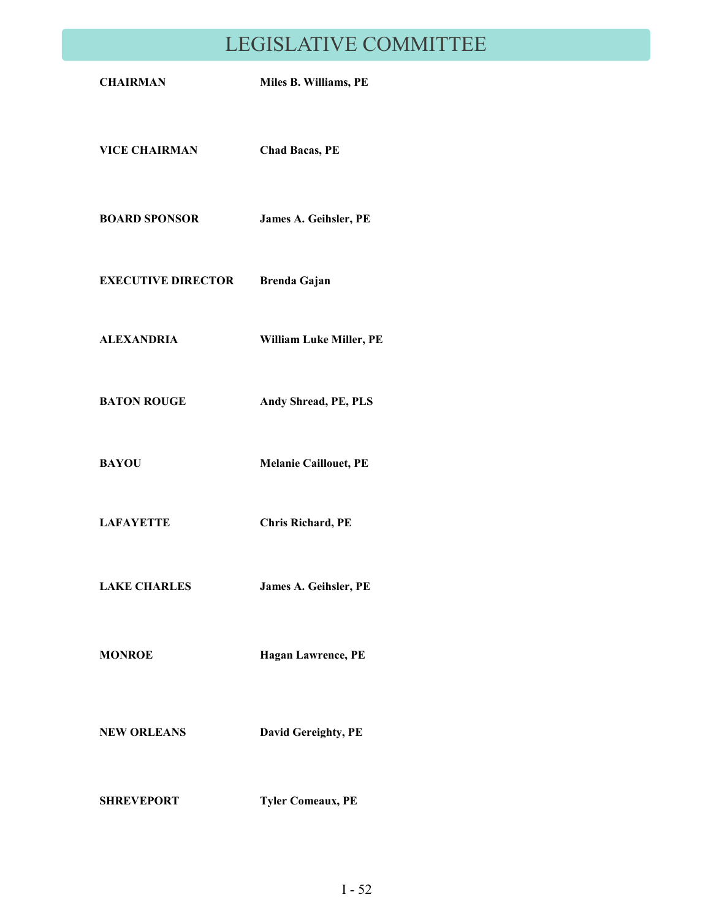# LEGISLATIVE COMMITTEE

| <b>CHAIRMAN</b>           | Miles B. Williams, PE        |
|---------------------------|------------------------------|
| <b>VICE CHAIRMAN</b>      | <b>Chad Bacas, PE</b>        |
| <b>BOARD SPONSOR</b>      | James A. Geihsler, PE        |
| <b>EXECUTIVE DIRECTOR</b> | Brenda Gajan                 |
| <b>ALEXANDRIA</b>         | William Luke Miller, PE      |
| <b>BATON ROUGE</b>        | Andy Shread, PE, PLS         |
| <b>BAYOU</b>              | <b>Melanie Caillouet, PE</b> |
| <b>LAFAYETTE</b>          | <b>Chris Richard, PE</b>     |
| <b>LAKE CHARLES</b>       | James A. Geihsler, PE        |
| <b>MONROE</b>             | Hagan Lawrence, PE           |
| <b>NEW ORLEANS</b>        | David Gereighty, PE          |
| <b>SHREVEPORT</b>         | <b>Tyler Comeaux, PE</b>     |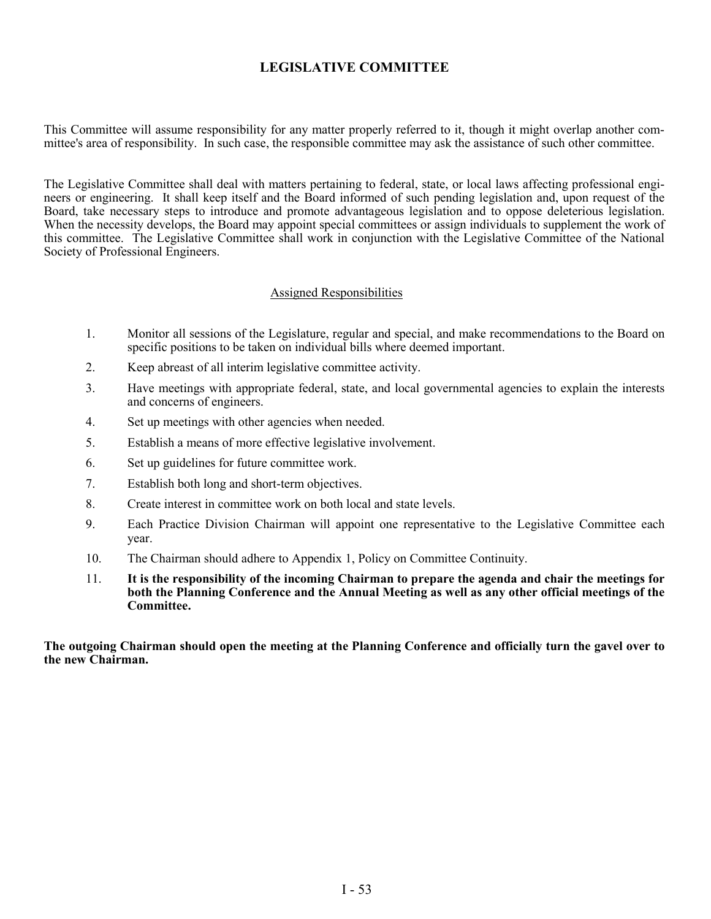### **LEGISLATIVE COMMITTEE**

This Committee will assume responsibility for any matter properly referred to it, though it might overlap another committee's area of responsibility. In such case, the responsible committee may ask the assistance of such other committee.

The Legislative Committee shall deal with matters pertaining to federal, state, or local laws affecting professional engineers or engineering. It shall keep itself and the Board informed of such pending legislation and, upon request of the Board, take necessary steps to introduce and promote advantageous legislation and to oppose deleterious legislation. When the necessity develops, the Board may appoint special committees or assign individuals to supplement the work of this committee. The Legislative Committee shall work in conjunction with the Legislative Committee of the National Society of Professional Engineers.

#### Assigned Responsibilities

- 1. Monitor all sessions of the Legislature, regular and special, and make recommendations to the Board on specific positions to be taken on individual bills where deemed important.
- 2. Keep abreast of all interim legislative committee activity.
- 3. Have meetings with appropriate federal, state, and local governmental agencies to explain the interests and concerns of engineers.
- 4. Set up meetings with other agencies when needed.
- 5. Establish a means of more effective legislative involvement.
- 6. Set up guidelines for future committee work.
- 7. Establish both long and short-term objectives.
- 8. Create interest in committee work on both local and state levels.
- 9. Each Practice Division Chairman will appoint one representative to the Legislative Committee each year.
- 10. The Chairman should adhere to Appendix 1, Policy on Committee Continuity.
- 11. **It is the responsibility of the incoming Chairman to prepare the agenda and chair the meetings for both the Planning Conference and the Annual Meeting as well as any other official meetings of the Committee.**

**The outgoing Chairman should open the meeting at the Planning Conference and officially turn the gavel over to the new Chairman.**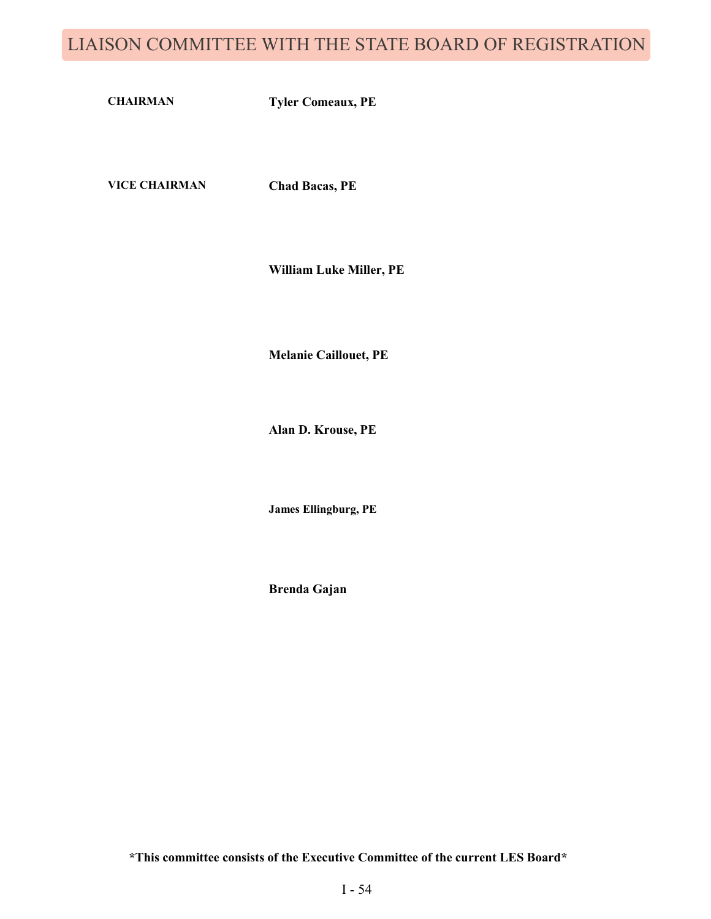# LIAISON COMMITTEE WITH THE STATE BOARD OF REGISTRATION

**CHAIRMAN Tyler Comeaux, PE**

**VICE CHAIRMAN Chad Bacas, PE**

**William Luke Miller, PE**

**Melanie Caillouet, PE**

**Alan D. Krouse, PE**

**James Ellingburg, PE**

**Brenda Gajan**

**\*This committee consists of the Executive Committee of the current LES Board\***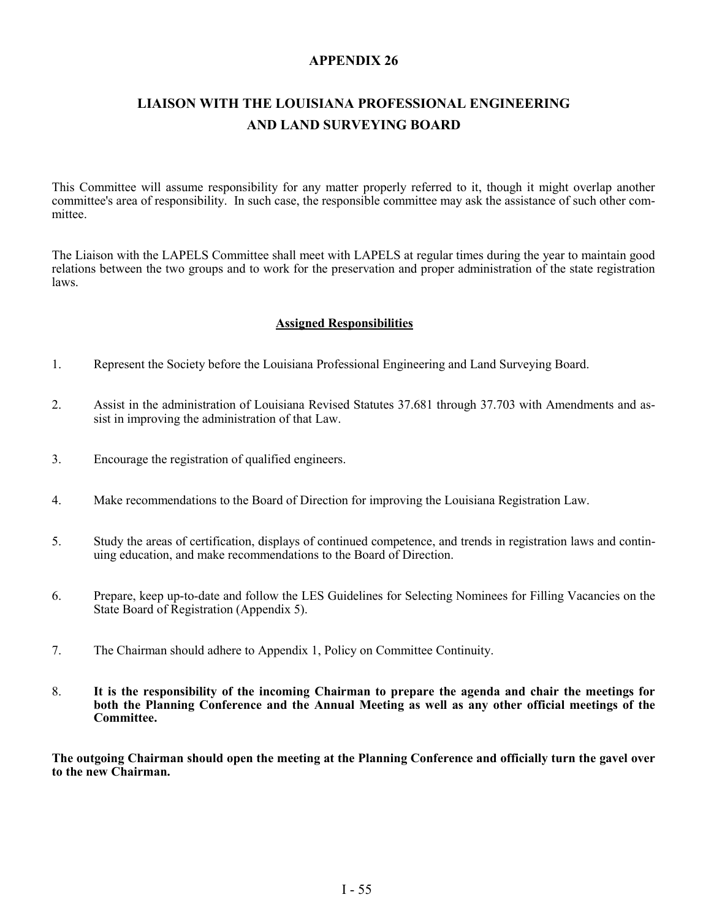### **APPENDIX 26**

# **LIAISON WITH THE LOUISIANA PROFESSIONAL ENGINEERING AND LAND SURVEYING BOARD**

This Committee will assume responsibility for any matter properly referred to it, though it might overlap another committee's area of responsibility. In such case, the responsible committee may ask the assistance of such other committee.

The Liaison with the LAPELS Committee shall meet with LAPELS at regular times during the year to maintain good relations between the two groups and to work for the preservation and proper administration of the state registration laws.

#### **Assigned Responsibilities**

- 1. Represent the Society before the Louisiana Professional Engineering and Land Surveying Board.
- 2. Assist in the administration of Louisiana Revised Statutes 37.681 through 37.703 with Amendments and assist in improving the administration of that Law.
- 3. Encourage the registration of qualified engineers.
- 4. Make recommendations to the Board of Direction for improving the Louisiana Registration Law.
- 5. Study the areas of certification, displays of continued competence, and trends in registration laws and continuing education, and make recommendations to the Board of Direction.
- 6. Prepare, keep up-to-date and follow the LES Guidelines for Selecting Nominees for Filling Vacancies on the State Board of Registration (Appendix 5).
- 7. The Chairman should adhere to Appendix 1, Policy on Committee Continuity.
- 8. **It is the responsibility of the incoming Chairman to prepare the agenda and chair the meetings for both the Planning Conference and the Annual Meeting as well as any other official meetings of the Committee.**

**The outgoing Chairman should open the meeting at the Planning Conference and officially turn the gavel over to the new Chairman.**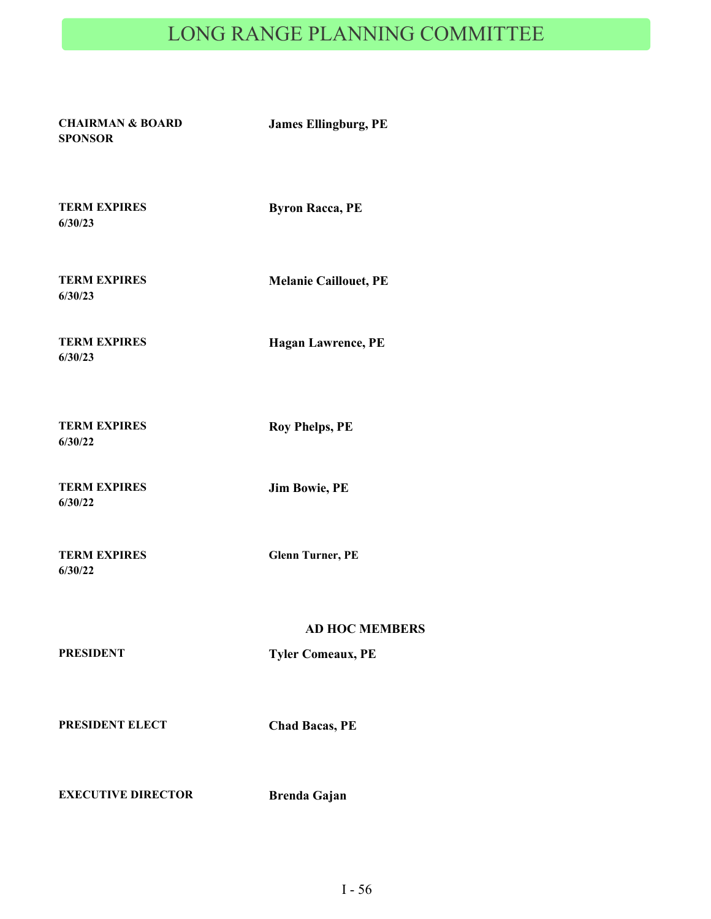# LONG RANGE PLANNING COMMITTEE

**CHAIRMAN & BOARD SPONSOR**

**James Ellingburg, PE**

**TERM EXPIRES 6/30/23**

**Byron Racca, PE**

**TERM EXPIRES 6/30/23**

**Melanie Caillouet, PE**

**TERM EXPIRES 6/30/23**

**Hagan Lawrence, PE**

**TERM EXPIRES 6/30/22**

**Roy Phelps, PE**

**TERM EXPIRES 6/30/22**

**Jim Bowie, PE**

**TERM EXPIRES 6/30/22**

**Glenn Turner, PE**

**PRESIDENT Tyler Comeaux, PE**

**AD HOC MEMBERS**

**PRESIDENT ELECT Chad Bacas, PE**

**EXECUTIVE DIRECTOR Brenda Gajan**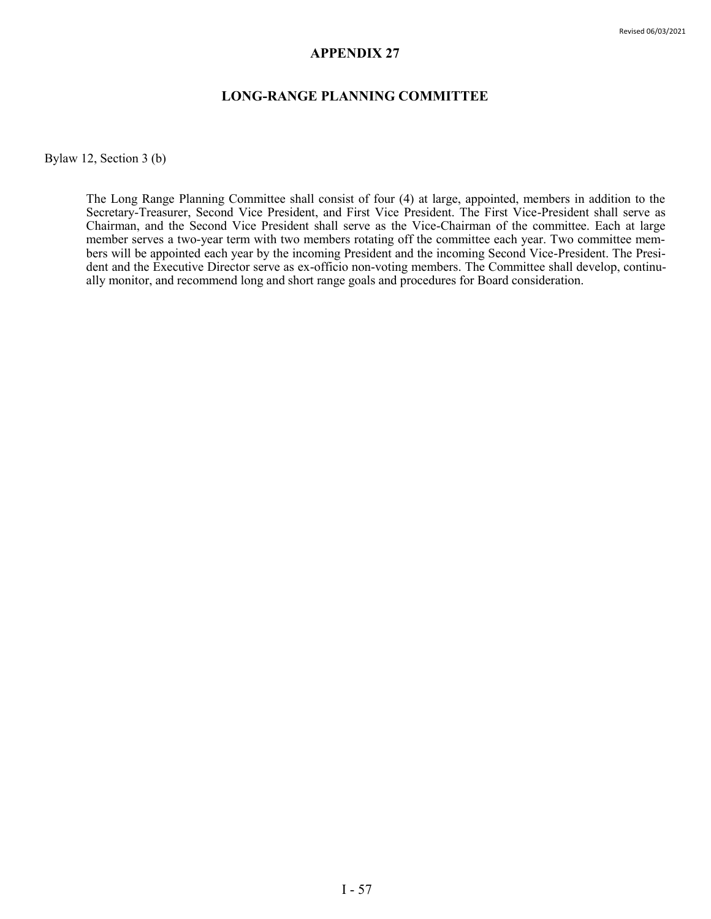#### **APPENDIX 27**

#### **LONG-RANGE PLANNING COMMITTEE**

Bylaw 12, Section 3 (b)

The Long Range Planning Committee shall consist of four (4) at large, appointed, members in addition to the Secretary-Treasurer, Second Vice President, and First Vice President. The First Vice-President shall serve as Chairman, and the Second Vice President shall serve as the Vice-Chairman of the committee. Each at large member serves a two-year term with two members rotating off the committee each year. Two committee members will be appointed each year by the incoming President and the incoming Second Vice-President. The President and the Executive Director serve as ex-officio non-voting members. The Committee shall develop, continually monitor, and recommend long and short range goals and procedures for Board consideration.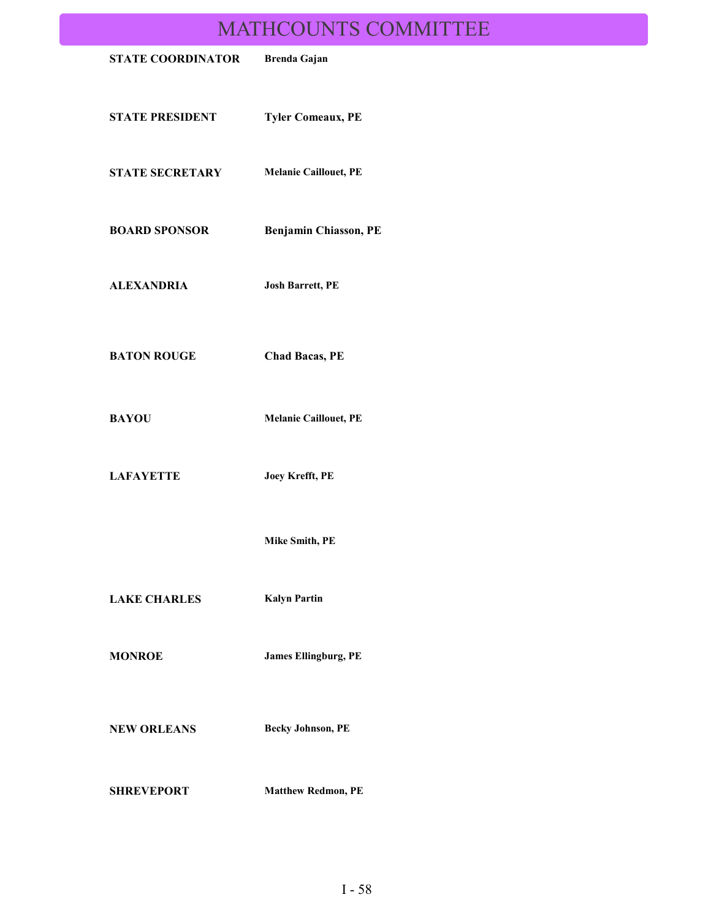# MATHCOUNTS COMMITTEE

| INITILICOUNTD COININITI TEE |                              |  |
|-----------------------------|------------------------------|--|
| <b>STATE COORDINATOR</b>    | <b>Brenda Gajan</b>          |  |
| <b>STATE PRESIDENT</b>      | <b>Tyler Comeaux, PE</b>     |  |
| <b>STATE SECRETARY</b>      | <b>Melanie Caillouet, PE</b> |  |
| <b>BOARD SPONSOR</b>        | Benjamin Chiasson, PE        |  |
| <b>ALEXANDRIA</b>           | <b>Josh Barrett, PE</b>      |  |
| <b>BATON ROUGE</b>          | <b>Chad Bacas, PE</b>        |  |
| <b>BAYOU</b>                | <b>Melanie Caillouet, PE</b> |  |
| <b>LAFAYETTE</b>            | Joey Krefft, PE              |  |
|                             | Mike Smith, PE               |  |
| <b>LAKE CHARLES</b>         | <b>Kalyn Partin</b>          |  |
| <b>MONROE</b>               | <b>James Ellingburg, PE</b>  |  |
| <b>NEW ORLEANS</b>          | <b>Becky Johnson, PE</b>     |  |
| <b>SHREVEPORT</b>           | <b>Matthew Redmon, PE</b>    |  |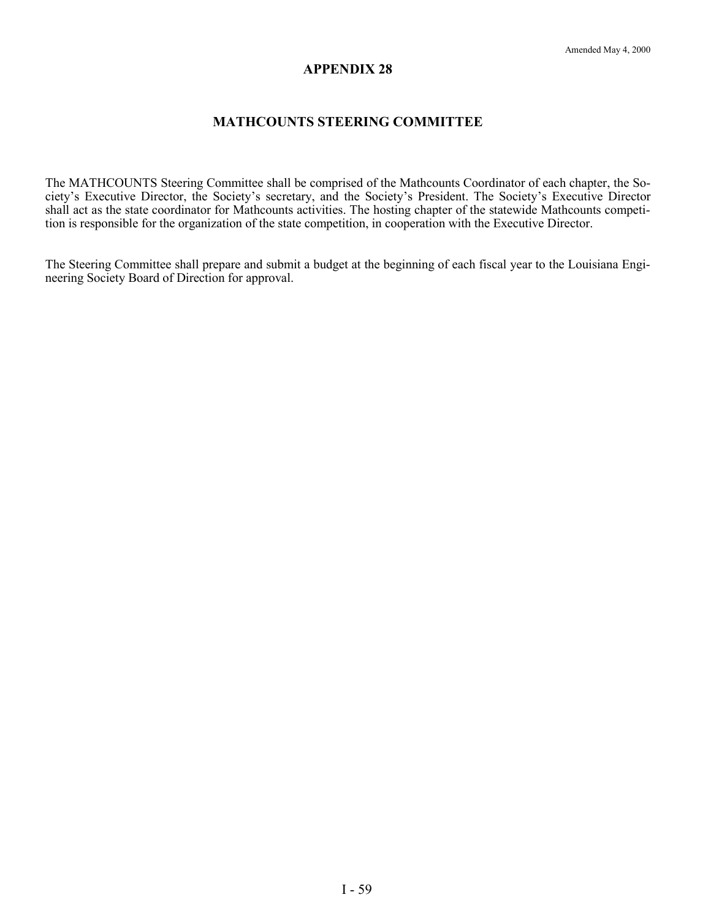#### **APPENDIX 28**

### **MATHCOUNTS STEERING COMMITTEE**

The MATHCOUNTS Steering Committee shall be comprised of the Mathcounts Coordinator of each chapter, the Society's Executive Director, the Society's secretary, and the Society's President. The Society's Executive Director shall act as the state coordinator for Mathcounts activities. The hosting chapter of the statewide Mathcounts competition is responsible for the organization of the state competition, in cooperation with the Executive Director.

The Steering Committee shall prepare and submit a budget at the beginning of each fiscal year to the Louisiana Engineering Society Board of Direction for approval.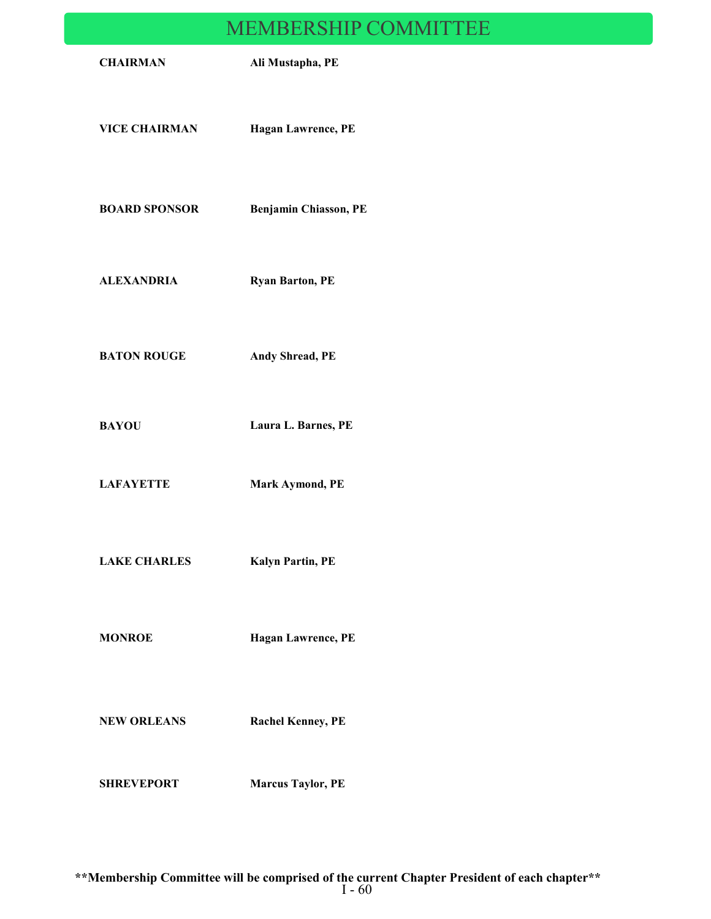# MEMBERSHIP COMMITTEE

|                      | INLENDEROHIII CONTINIT LEE |  |
|----------------------|----------------------------|--|
| <b>CHAIRMAN</b>      | Ali Mustapha, PE           |  |
| <b>VICE CHAIRMAN</b> | <b>Hagan Lawrence, PE</b>  |  |
| <b>BOARD SPONSOR</b> | Benjamin Chiasson, PE      |  |
| <b>ALEXANDRIA</b>    | <b>Ryan Barton, PE</b>     |  |
| <b>BATON ROUGE</b>   | Andy Shread, PE            |  |
| <b>BAYOU</b>         | Laura L. Barnes, PE        |  |
| <b>LAFAYETTE</b>     | Mark Aymond, PE            |  |
| <b>LAKE CHARLES</b>  | Kalyn Partin, PE           |  |
| <b>MONROE</b>        | Hagan Lawrence, PE         |  |
| <b>NEW ORLEANS</b>   | <b>Rachel Kenney, PE</b>   |  |
| <b>SHREVEPORT</b>    | <b>Marcus Taylor, PE</b>   |  |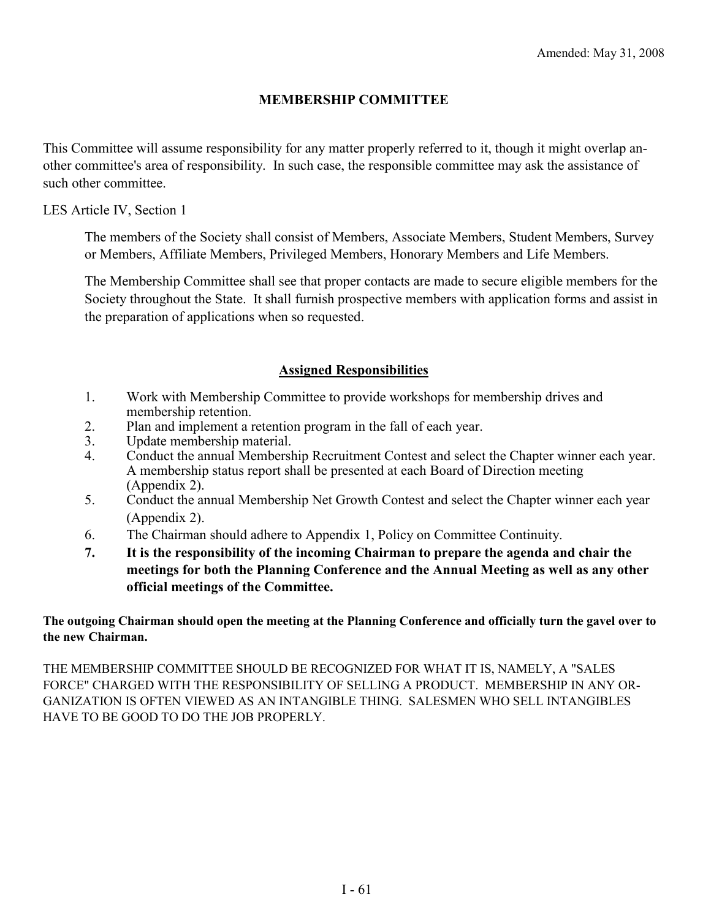### **MEMBERSHIP COMMITTEE**

This Committee will assume responsibility for any matter properly referred to it, though it might overlap another committee's area of responsibility. In such case, the responsible committee may ask the assistance of such other committee.

LES Article IV, Section 1

The members of the Society shall consist of Members, Associate Members, Student Members, Survey or Members, Affiliate Members, Privileged Members, Honorary Members and Life Members.

The Membership Committee shall see that proper contacts are made to secure eligible members for the Society throughout the State. It shall furnish prospective members with application forms and assist in the preparation of applications when so requested.

### **Assigned Responsibilities**

- 1. Work with Membership Committee to provide workshops for membership drives and membership retention.
- 2. Plan and implement a retention program in the fall of each year.
- 3. Update membership material.
- 4. Conduct the annual Membership Recruitment Contest and select the Chapter winner each year. A membership status report shall be presented at each Board of Direction meeting (Appendix 2).
- 5. Conduct the annual Membership Net Growth Contest and select the Chapter winner each year (Appendix 2).
- 6. The Chairman should adhere to Appendix 1, Policy on Committee Continuity.
- **7. It is the responsibility of the incoming Chairman to prepare the agenda and chair the meetings for both the Planning Conference and the Annual Meeting as well as any other official meetings of the Committee.**

### **The outgoing Chairman should open the meeting at the Planning Conference and officially turn the gavel over to the new Chairman.**

THE MEMBERSHIP COMMITTEE SHOULD BE RECOGNIZED FOR WHAT IT IS, NAMELY, A "SALES FORCE" CHARGED WITH THE RESPONSIBILITY OF SELLING A PRODUCT. MEMBERSHIP IN ANY OR-GANIZATION IS OFTEN VIEWED AS AN INTANGIBLE THING. SALESMEN WHO SELL INTANGIBLES HAVE TO BE GOOD TO DO THE JOB PROPERLY.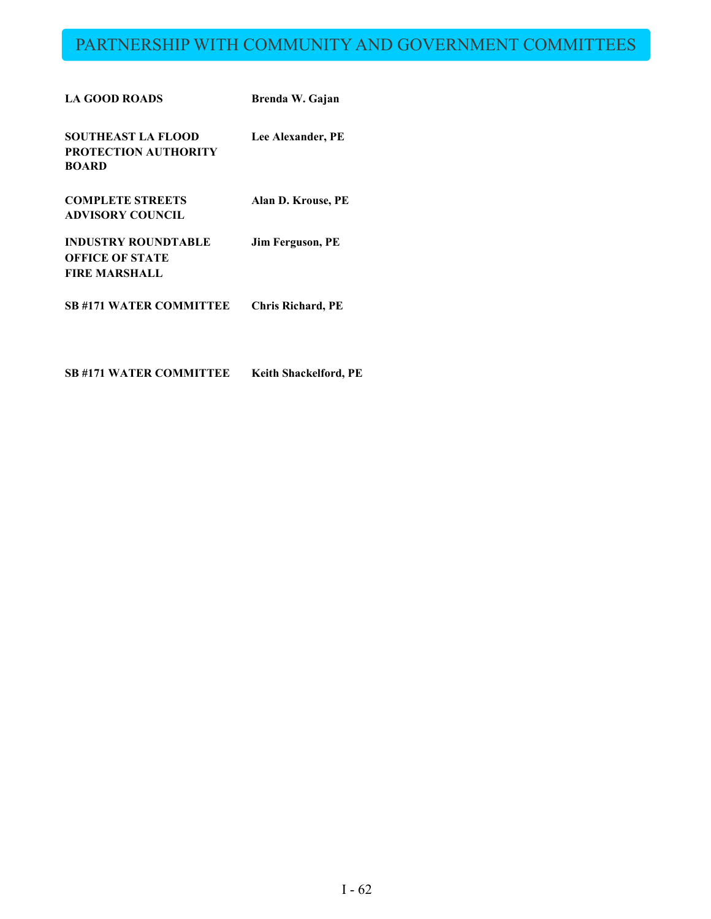# PARTNERSHIP WITH COMMUNITY AND GOVERNMENT COMMITTEES

| <b>LA GOOD ROADS</b>                                                         | Brenda W. Gajan          |
|------------------------------------------------------------------------------|--------------------------|
| SOUTHEAST LA FLOOD<br><b>PROTECTION AUTHORITY</b><br><b>BOARD</b>            | Lee Alexander, PE        |
| <b>COMPLETE STREETS</b><br><b>ADVISORY COUNCIL</b>                           | Alan D. Krouse, PE       |
| <b>INDUSTRY ROUNDTABLE</b><br><b>OFFICE OF STATE</b><br><b>FIRE MARSHALL</b> | <b>Jim Ferguson, PE</b>  |
| <b>SB #171 WATER COMMITTEE</b>                                               | <b>Chris Richard, PE</b> |

**SB #171 WATER COMMITTEE Keith Shackelford, PE**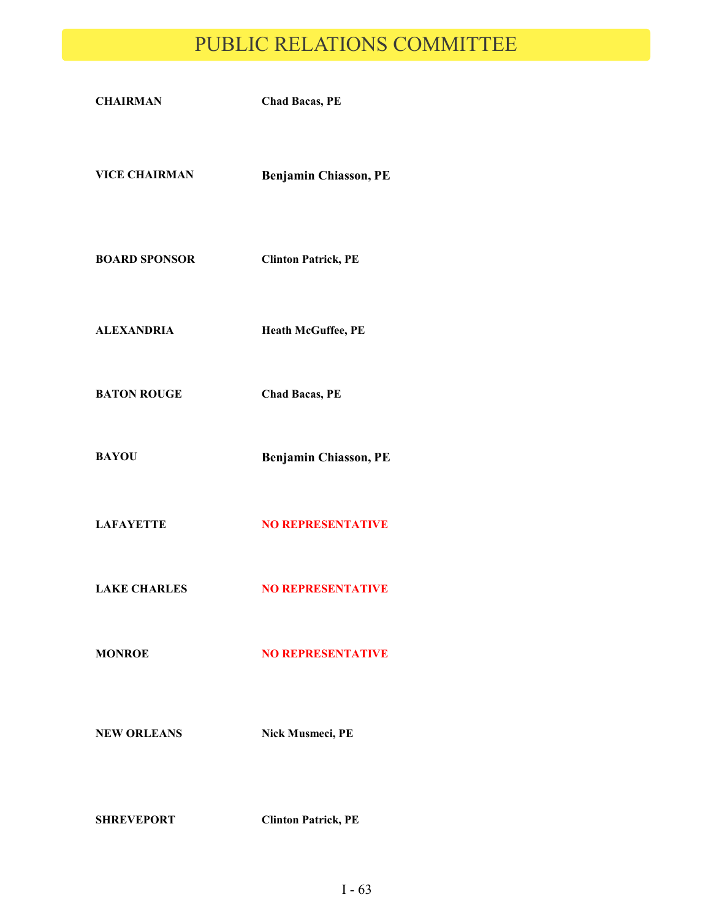# PUBLIC RELATIONS COMMITTEE

| <b>CHAIRMAN</b>      | <b>Chad Bacas, PE</b>      |
|----------------------|----------------------------|
| <b>VICE CHAIRMAN</b> | Benjamin Chiasson, PE      |
| <b>BOARD SPONSOR</b> | <b>Clinton Patrick, PE</b> |
| <b>ALEXANDRIA</b>    | Heath McGuffee, PE         |
| <b>BATON ROUGE</b>   | <b>Chad Bacas, PE</b>      |
| <b>BAYOU</b>         | Benjamin Chiasson, PE      |
| <b>LAFAYETTE</b>     | <b>NO REPRESENTATIVE</b>   |
| <b>LAKE CHARLES</b>  | <b>NO REPRESENTATIVE</b>   |
| <b>MONROE</b>        | <b>NO REPRESENTATIVE</b>   |
| <b>NEW ORLEANS</b>   | Nick Musmeci, PE           |
| <b>SHREVEPORT</b>    | <b>Clinton Patrick, PE</b> |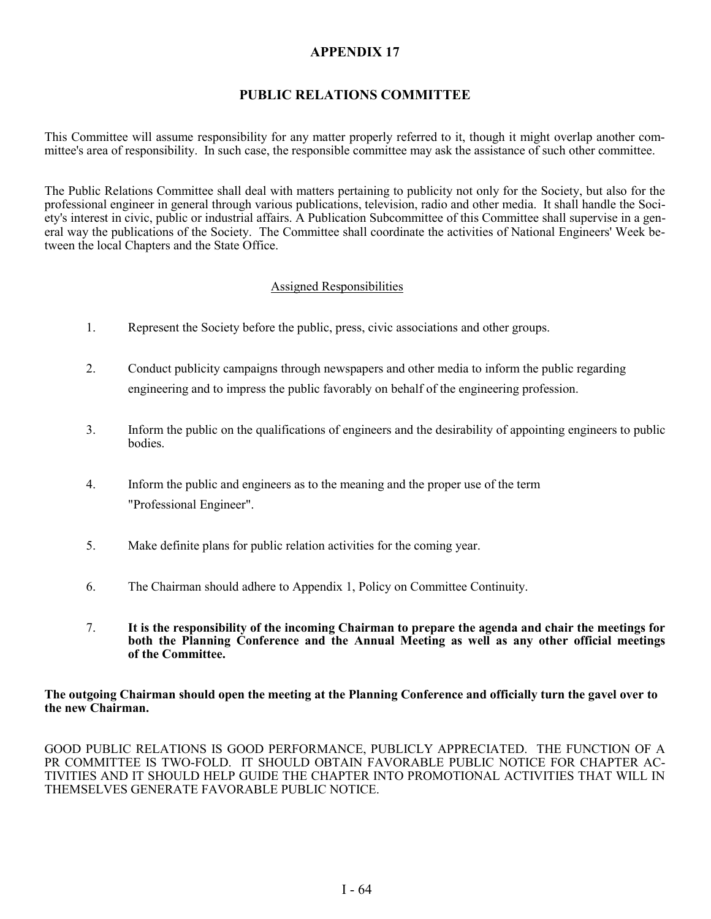### **APPENDIX 17**

# **PUBLIC RELATIONS COMMITTEE**

This Committee will assume responsibility for any matter properly referred to it, though it might overlap another committee's area of responsibility. In such case, the responsible committee may ask the assistance of such other committee.

The Public Relations Committee shall deal with matters pertaining to publicity not only for the Society, but also for the professional engineer in general through various publications, television, radio and other media. It shall handle the Society's interest in civic, public or industrial affairs. A Publication Subcommittee of this Committee shall supervise in a general way the publications of the Society. The Committee shall coordinate the activities of National Engineers' Week between the local Chapters and the State Office.

#### Assigned Responsibilities

- 1. Represent the Society before the public, press, civic associations and other groups.
- 2. Conduct publicity campaigns through newspapers and other media to inform the public regarding engineering and to impress the public favorably on behalf of the engineering profession.
- 3. Inform the public on the qualifications of engineers and the desirability of appointing engineers to public bodies.
- 4. Inform the public and engineers as to the meaning and the proper use of the term "Professional Engineer".
- 5. Make definite plans for public relation activities for the coming year.
- 6. The Chairman should adhere to Appendix 1, Policy on Committee Continuity.
- 7. **It is the responsibility of the incoming Chairman to prepare the agenda and chair the meetings for both the Planning Conference and the Annual Meeting as well as any other official meetings of the Committee.**

#### **The outgoing Chairman should open the meeting at the Planning Conference and officially turn the gavel over to the new Chairman.**

GOOD PUBLIC RELATIONS IS GOOD PERFORMANCE, PUBLICLY APPRECIATED. THE FUNCTION OF A PR COMMITTEE IS TWO-FOLD. IT SHOULD OBTAIN FAVORABLE PUBLIC NOTICE FOR CHAPTER AC-TIVITIES AND IT SHOULD HELP GUIDE THE CHAPTER INTO PROMOTIONAL ACTIVITIES THAT WILL IN THEMSELVES GENERATE FAVORABLE PUBLIC NOTICE.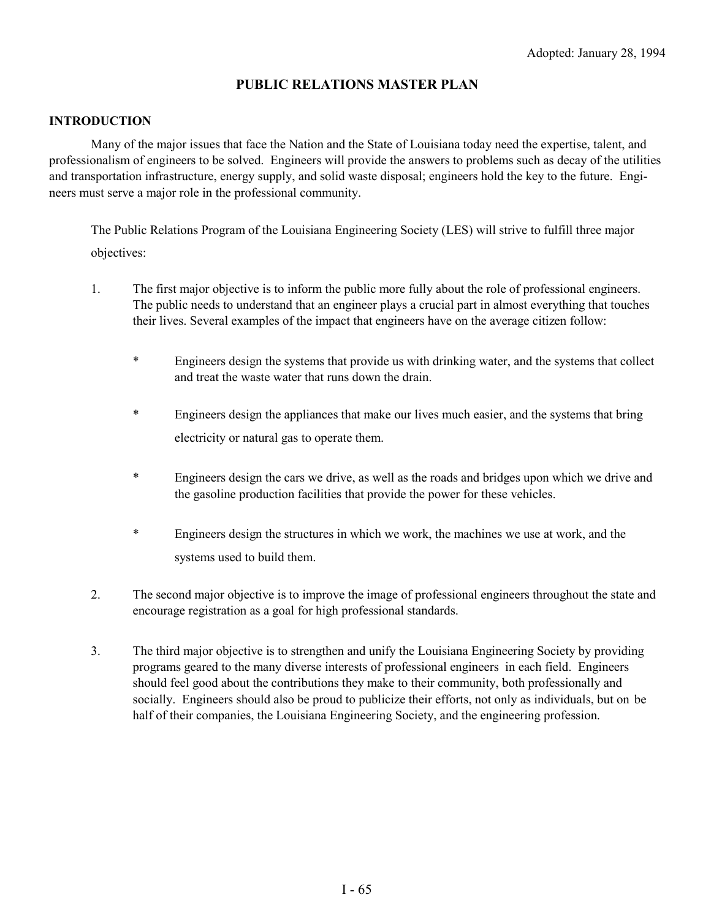### **PUBLIC RELATIONS MASTER PLAN**

#### **INTRODUCTION**

Many of the major issues that face the Nation and the State of Louisiana today need the expertise, talent, and professionalism of engineers to be solved. Engineers will provide the answers to problems such as decay of the utilities and transportation infrastructure, energy supply, and solid waste disposal; engineers hold the key to the future. Engineers must serve a major role in the professional community.

The Public Relations Program of the Louisiana Engineering Society (LES) will strive to fulfill three major objectives:

- 1. The first major objective is to inform the public more fully about the role of professional engineers. The public needs to understand that an engineer plays a crucial part in almost everything that touches their lives. Several examples of the impact that engineers have on the average citizen follow:
	- \* Engineers design the systems that provide us with drinking water, and the systems that collect and treat the waste water that runs down the drain.
	- \* Engineers design the appliances that make our lives much easier, and the systems that bring electricity or natural gas to operate them.
	- \* Engineers design the cars we drive, as well as the roads and bridges upon which we drive and the gasoline production facilities that provide the power for these vehicles.
	- \* Engineers design the structures in which we work, the machines we use at work, and the systems used to build them.
- 2. The second major objective is to improve the image of professional engineers throughout the state and encourage registration as a goal for high professional standards.
- 3. The third major objective is to strengthen and unify the Louisiana Engineering Society by providing programs geared to the many diverse interests of professional engineers in each field. Engineers should feel good about the contributions they make to their community, both professionally and socially. Engineers should also be proud to publicize their efforts, not only as individuals, but on be half of their companies, the Louisiana Engineering Society, and the engineering profession.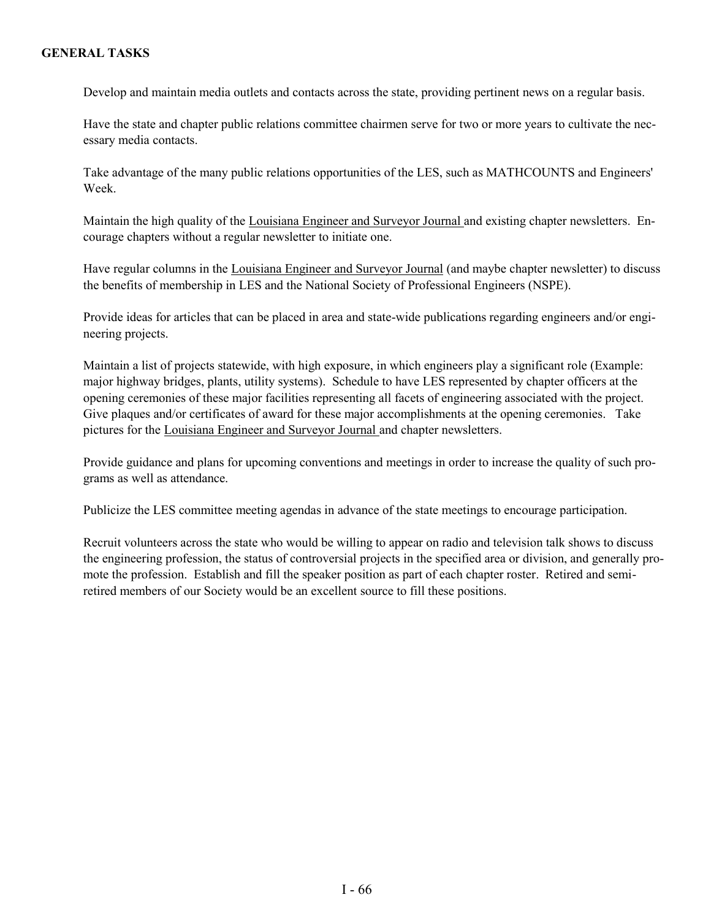#### **GENERAL TASKS**

Develop and maintain media outlets and contacts across the state, providing pertinent news on a regular basis.

Have the state and chapter public relations committee chairmen serve for two or more years to cultivate the necessary media contacts.

Take advantage of the many public relations opportunities of the LES, such as MATHCOUNTS and Engineers' Week.

Maintain the high quality of the Louisiana Engineer and Surveyor Journal and existing chapter newsletters. Encourage chapters without a regular newsletter to initiate one.

Have regular columns in the Louisiana Engineer and Surveyor Journal (and maybe chapter newsletter) to discuss the benefits of membership in LES and the National Society of Professional Engineers (NSPE).

Provide ideas for articles that can be placed in area and state-wide publications regarding engineers and/or engineering projects.

Maintain a list of projects statewide, with high exposure, in which engineers play a significant role (Example: major highway bridges, plants, utility systems). Schedule to have LES represented by chapter officers at the opening ceremonies of these major facilities representing all facets of engineering associated with the project. Give plaques and/or certificates of award for these major accomplishments at the opening ceremonies. Take pictures for the Louisiana Engineer and Surveyor Journal and chapter newsletters.

Provide guidance and plans for upcoming conventions and meetings in order to increase the quality of such programs as well as attendance.

Publicize the LES committee meeting agendas in advance of the state meetings to encourage participation.

Recruit volunteers across the state who would be willing to appear on radio and television talk shows to discuss the engineering profession, the status of controversial projects in the specified area or division, and generally promote the profession. Establish and fill the speaker position as part of each chapter roster. Retired and semiretired members of our Society would be an excellent source to fill these positions.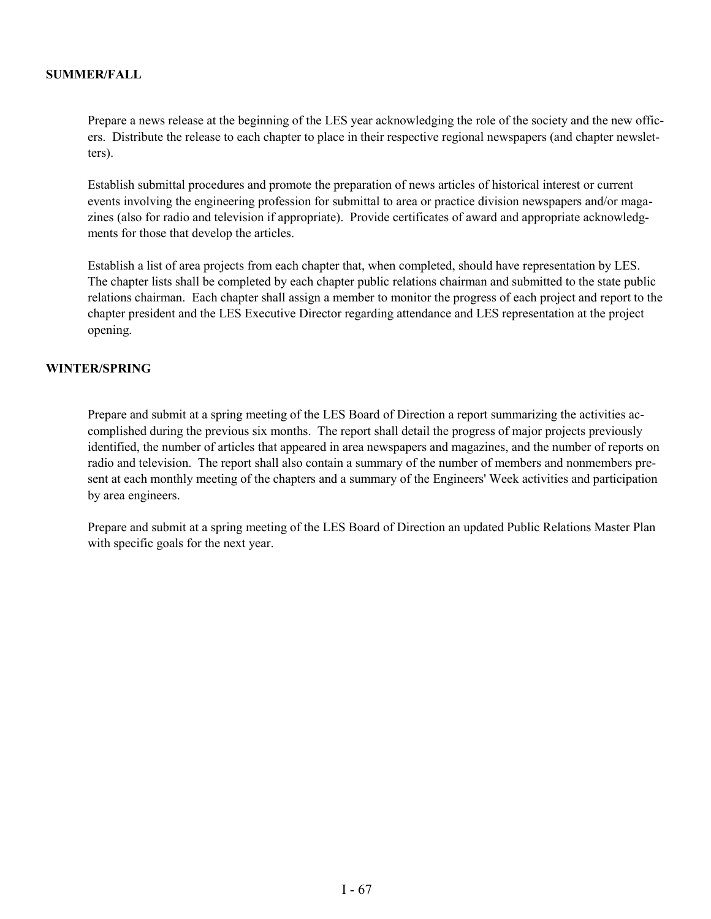#### **SUMMER/FALL**

Prepare a news release at the beginning of the LES year acknowledging the role of the society and the new officers. Distribute the release to each chapter to place in their respective regional newspapers (and chapter newsletters).

Establish submittal procedures and promote the preparation of news articles of historical interest or current events involving the engineering profession for submittal to area or practice division newspapers and/or magazines (also for radio and television if appropriate). Provide certificates of award and appropriate acknowledgments for those that develop the articles.

Establish a list of area projects from each chapter that, when completed, should have representation by LES. The chapter lists shall be completed by each chapter public relations chairman and submitted to the state public relations chairman. Each chapter shall assign a member to monitor the progress of each project and report to the chapter president and the LES Executive Director regarding attendance and LES representation at the project opening.

#### **WINTER/SPRING**

Prepare and submit at a spring meeting of the LES Board of Direction a report summarizing the activities accomplished during the previous six months. The report shall detail the progress of major projects previously identified, the number of articles that appeared in area newspapers and magazines, and the number of reports on radio and television. The report shall also contain a summary of the number of members and nonmembers present at each monthly meeting of the chapters and a summary of the Engineers' Week activities and participation by area engineers.

Prepare and submit at a spring meeting of the LES Board of Direction an updated Public Relations Master Plan with specific goals for the next year.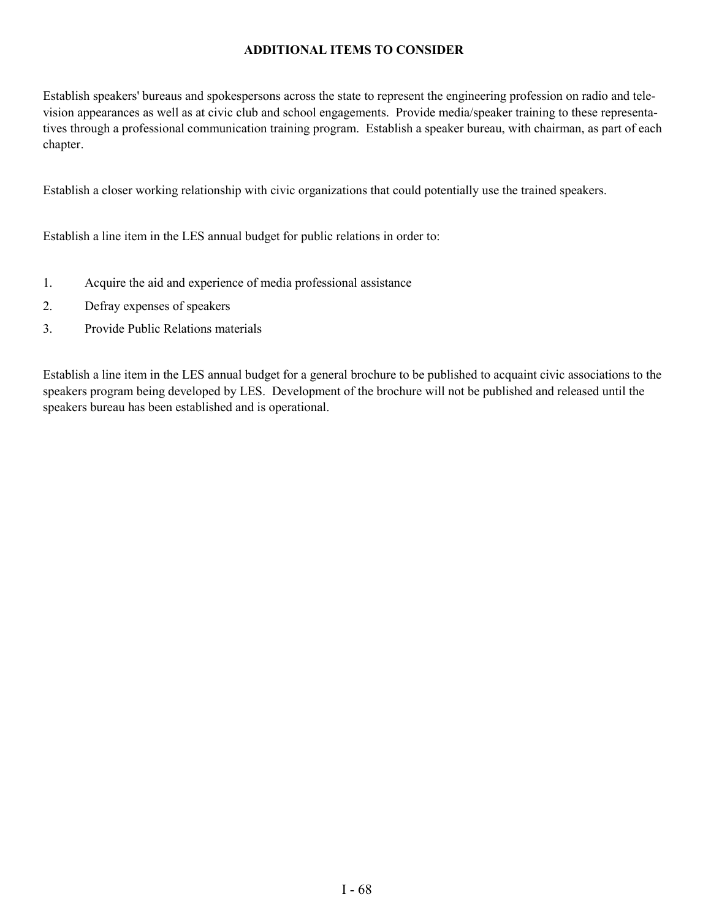#### **ADDITIONAL ITEMS TO CONSIDER**

Establish speakers' bureaus and spokespersons across the state to represent the engineering profession on radio and television appearances as well as at civic club and school engagements. Provide media/speaker training to these representatives through a professional communication training program. Establish a speaker bureau, with chairman, as part of each chapter.

Establish a closer working relationship with civic organizations that could potentially use the trained speakers.

Establish a line item in the LES annual budget for public relations in order to:

- 1. Acquire the aid and experience of media professional assistance
- 2. Defray expenses of speakers
- 3. Provide Public Relations materials

Establish a line item in the LES annual budget for a general brochure to be published to acquaint civic associations to the speakers program being developed by LES. Development of the brochure will not be published and released until the speakers bureau has been established and is operational.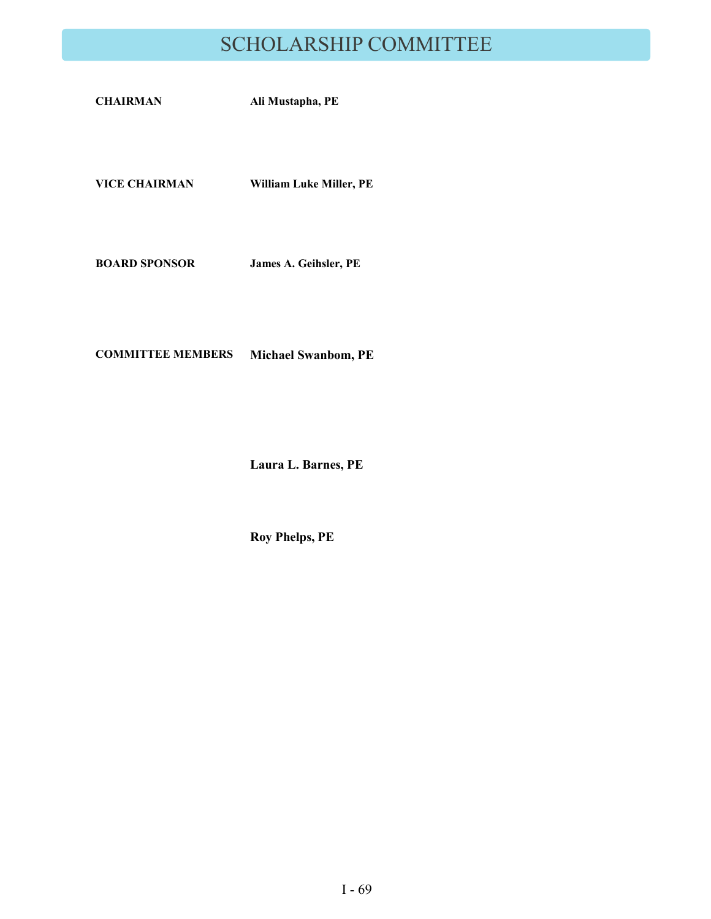# SCHOLARSHIP COMMITTEE

| <b>CHAIRMAN</b>      | Ali Mustapha, PE        |
|----------------------|-------------------------|
|                      |                         |
| <b>VICE CHAIRMAN</b> | William Luke Miller, PE |
|                      |                         |

**BOARD SPONSOR James A. Geihsler, PE**

**COMMITTEE MEMBERS Michael Swanbom, PE**

**Laura L. Barnes, PE**

**Roy Phelps, PE**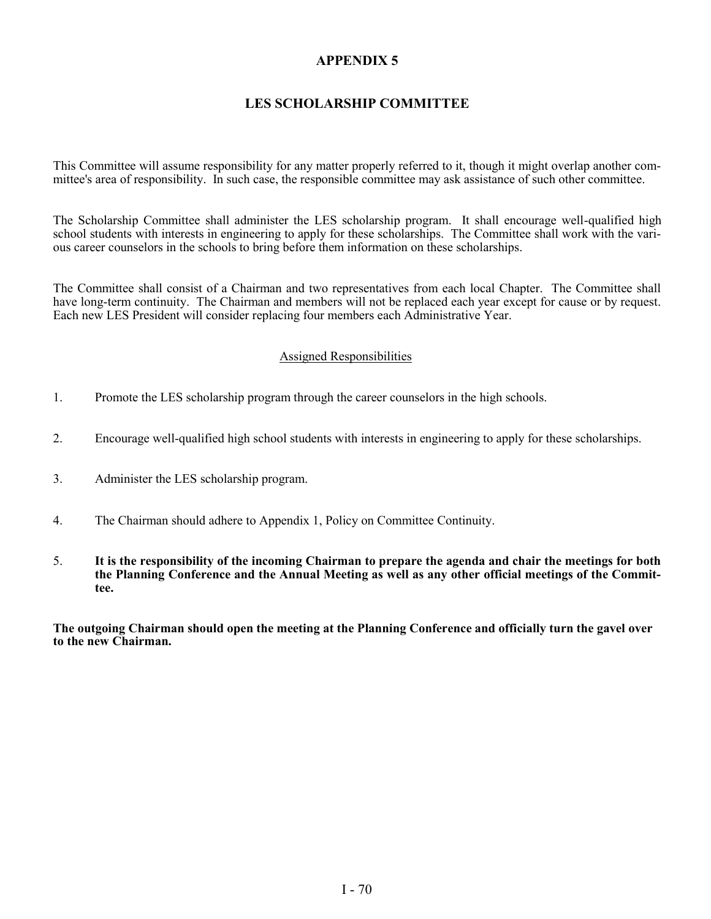# **APPENDIX 5**

# **LES SCHOLARSHIP COMMITTEE**

This Committee will assume responsibility for any matter properly referred to it, though it might overlap another committee's area of responsibility. In such case, the responsible committee may ask assistance of such other committee.

The Scholarship Committee shall administer the LES scholarship program. It shall encourage well-qualified high school students with interests in engineering to apply for these scholarships. The Committee shall work with the various career counselors in the schools to bring before them information on these scholarships.

The Committee shall consist of a Chairman and two representatives from each local Chapter. The Committee shall have long-term continuity. The Chairman and members will not be replaced each year except for cause or by request. Each new LES President will consider replacing four members each Administrative Year.

#### Assigned Responsibilities

- 1. Promote the LES scholarship program through the career counselors in the high schools.
- 2. Encourage well-qualified high school students with interests in engineering to apply for these scholarships.
- 3. Administer the LES scholarship program.
- 4. The Chairman should adhere to Appendix 1, Policy on Committee Continuity.
- 5. **It is the responsibility of the incoming Chairman to prepare the agenda and chair the meetings for both the Planning Conference and the Annual Meeting as well as any other official meetings of the Committee.**

**The outgoing Chairman should open the meeting at the Planning Conference and officially turn the gavel over to the new Chairman.**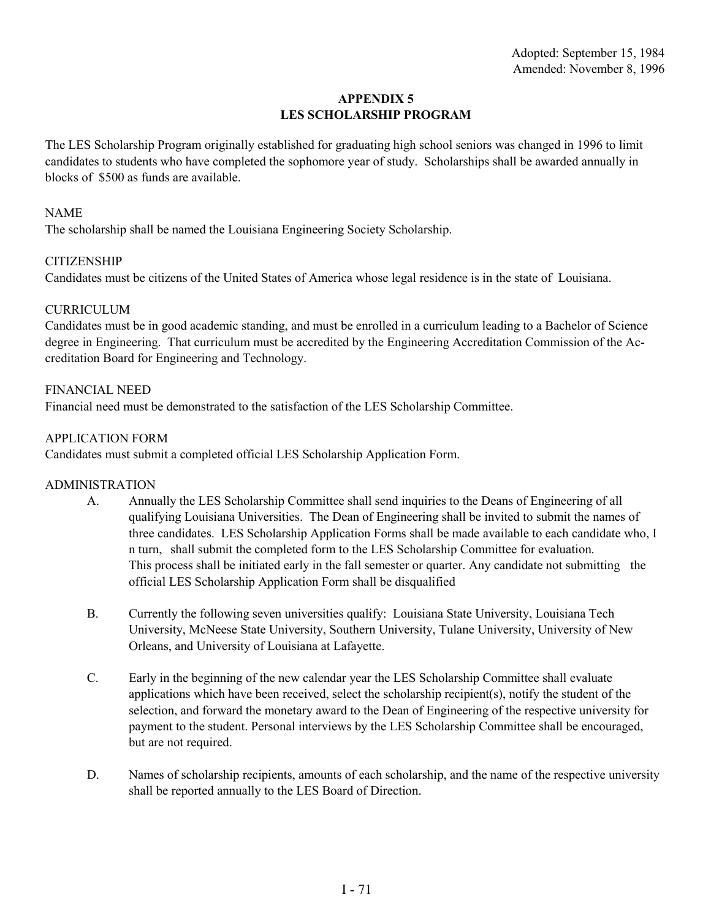#### **APPENDIX 5 LES SCHOLARSHIP PROGRAM**

The LES Scholarship Program originally established for graduating high school seniors was changed in 1996 to limit candidates to students who have completed the sophomore year of study. Scholarships shall be awarded annually in blocks of \$500 as funds are available.

#### NAME

The scholarship shall be named the Louisiana Engineering Society Scholarship.

### **CITIZENSHIP**

Candidates must be citizens of the United States of America whose legal residence is in the state of Louisiana.

#### **CURRICULUM**

Candidates must be in good academic standing, and must be enrolled in a curriculum leading to a Bachelor of Science degree in Engineering. That curriculum must be accredited by the Engineering Accreditation Commission of the Accreditation Board for Engineering and Technology.

#### FINANCIAL NEED

Financial need must be demonstrated to the satisfaction of the LES Scholarship Committee.

#### APPLICATION FORM

Candidates must submit a completed official LES Scholarship Application Form.

#### ADMINISTRATION

- A. Annually the LES Scholarship Committee shall send inquiries to the Deans of Engineering of all qualifying Louisiana Universities. The Dean of Engineering shall be invited to submit the names of three candidates. LES Scholarship Application Forms shall be made available to each candidate who, I n turn, shall submit the completed form to the LES Scholarship Committee for evaluation. This process shall be initiated early in the fall semester or quarter. Any candidate not submitting the official LES Scholarship Application Form shall be disqualified
- B. Currently the following seven universities qualify: Louisiana State University, Louisiana Tech University, McNeese State University, Southern University, Tulane University, University of New Orleans, and University of Louisiana at Lafayette.
- C. Early in the beginning of the new calendar year the LES Scholarship Committee shall evaluate applications which have been received, select the scholarship recipient(s), notify the student of the selection, and forward the monetary award to the Dean of Engineering of the respective university for payment to the student. Personal interviews by the LES Scholarship Committee shall be encouraged, but are not required.
- D. Names of scholarship recipients, amounts of each scholarship, and the name of the respective university shall be reported annually to the LES Board of Direction.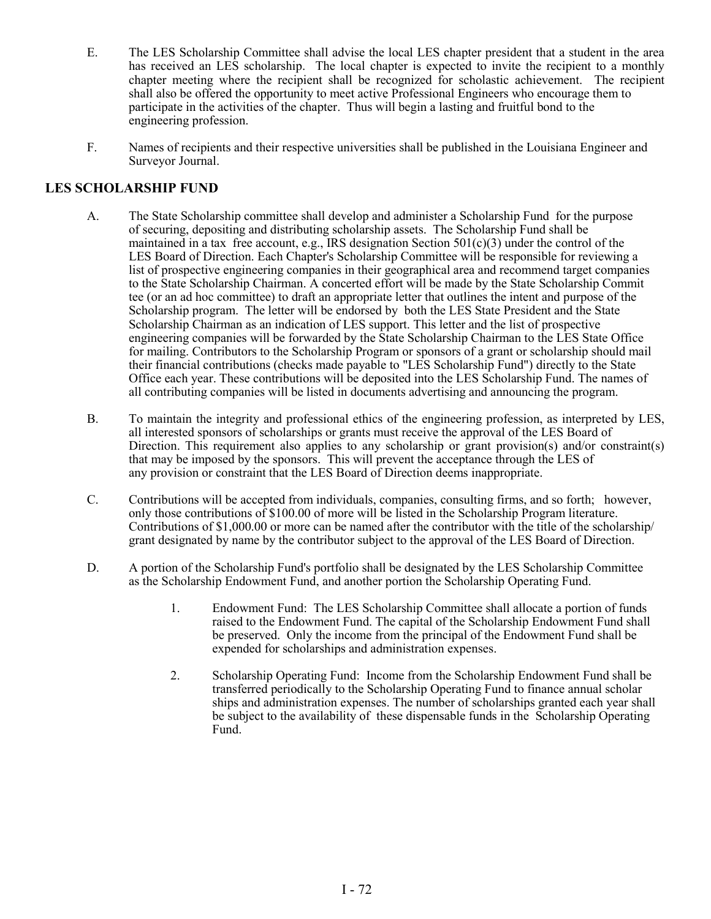- E. The LES Scholarship Committee shall advise the local LES chapter president that a student in the area has received an LES scholarship. The local chapter is expected to invite the recipient to a monthly chapter meeting where the recipient shall be recognized for scholastic achievement. The recipient shall also be offered the opportunity to meet active Professional Engineers who encourage them to participate in the activities of the chapter. Thus will begin a lasting and fruitful bond to the engineering profession.
- F. Names of recipients and their respective universities shall be published in the Louisiana Engineer and Surveyor Journal.

### **LES SCHOLARSHIP FUND**

- A. The State Scholarship committee shall develop and administer a Scholarship Fund for the purpose of securing, depositing and distributing scholarship assets. The Scholarship Fund shall be maintained in a tax free account, e.g., IRS designation Section  $501(c)(3)$  under the control of the LES Board of Direction. Each Chapter's Scholarship Committee will be responsible for reviewing a list of prospective engineering companies in their geographical area and recommend target companies to the State Scholarship Chairman. A concerted effort will be made by the State Scholarship Commit tee (or an ad hoc committee) to draft an appropriate letter that outlines the intent and purpose of the Scholarship program. The letter will be endorsed by both the LES State President and the State Scholarship Chairman as an indication of LES support. This letter and the list of prospective engineering companies will be forwarded by the State Scholarship Chairman to the LES State Office for mailing. Contributors to the Scholarship Program or sponsors of a grant or scholarship should mail their financial contributions (checks made payable to "LES Scholarship Fund") directly to the State Office each year. These contributions will be deposited into the LES Scholarship Fund. The names of all contributing companies will be listed in documents advertising and announcing the program.
- B. To maintain the integrity and professional ethics of the engineering profession, as interpreted by LES, all interested sponsors of scholarships or grants must receive the approval of the LES Board of Direction. This requirement also applies to any scholarship or grant provision(s) and/or constraint(s) that may be imposed by the sponsors. This will prevent the acceptance through the LES of any provision or constraint that the LES Board of Direction deems inappropriate.
- C. Contributions will be accepted from individuals, companies, consulting firms, and so forth; however, only those contributions of \$100.00 of more will be listed in the Scholarship Program literature. Contributions of \$1,000.00 or more can be named after the contributor with the title of the scholarship/ grant designated by name by the contributor subject to the approval of the LES Board of Direction.
- D. A portion of the Scholarship Fund's portfolio shall be designated by the LES Scholarship Committee as the Scholarship Endowment Fund, and another portion the Scholarship Operating Fund.
	- 1. Endowment Fund: The LES Scholarship Committee shall allocate a portion of funds raised to the Endowment Fund. The capital of the Scholarship Endowment Fund shall be preserved. Only the income from the principal of the Endowment Fund shall be expended for scholarships and administration expenses.
	- 2. Scholarship Operating Fund: Income from the Scholarship Endowment Fund shall be transferred periodically to the Scholarship Operating Fund to finance annual scholar ships and administration expenses. The number of scholarships granted each year shall be subject to the availability of these dispensable funds in the Scholarship Operating Fund.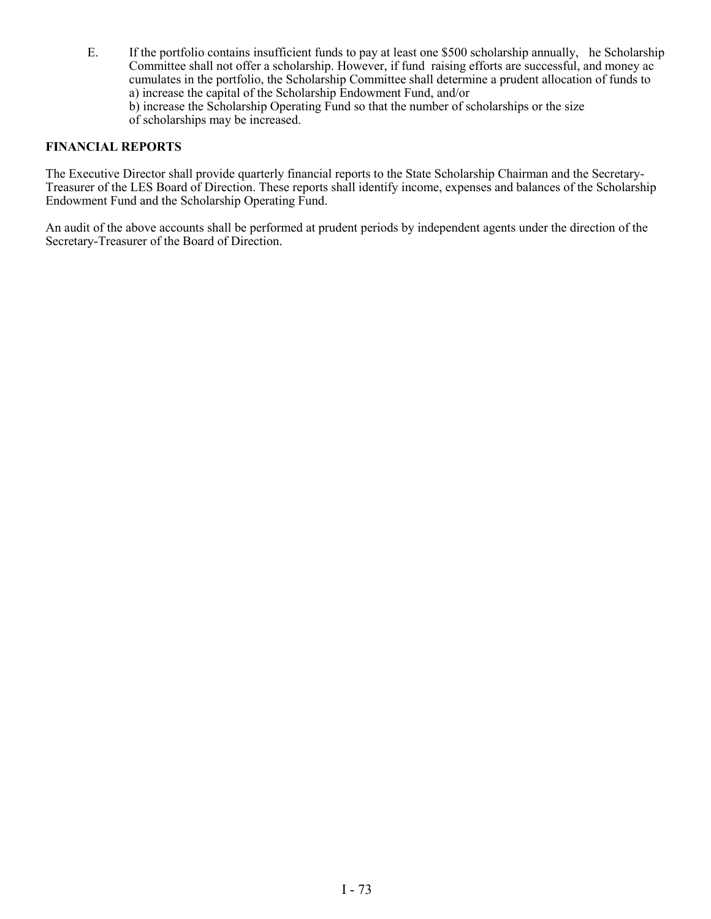E. If the portfolio contains insufficient funds to pay at least one \$500 scholarship annually, he Scholarship Committee shall not offer a scholarship. However, if fund raising efforts are successful, and money ac cumulates in the portfolio, the Scholarship Committee shall determine a prudent allocation of funds to a) increase the capital of the Scholarship Endowment Fund, and/or

b) increase the Scholarship Operating Fund so that the number of scholarships or the size of scholarships may be increased.

#### **FINANCIAL REPORTS**

The Executive Director shall provide quarterly financial reports to the State Scholarship Chairman and the Secretary-Treasurer of the LES Board of Direction. These reports shall identify income, expenses and balances of the Scholarship Endowment Fund and the Scholarship Operating Fund.

An audit of the above accounts shall be performed at prudent periods by independent agents under the direction of the Secretary-Treasurer of the Board of Direction.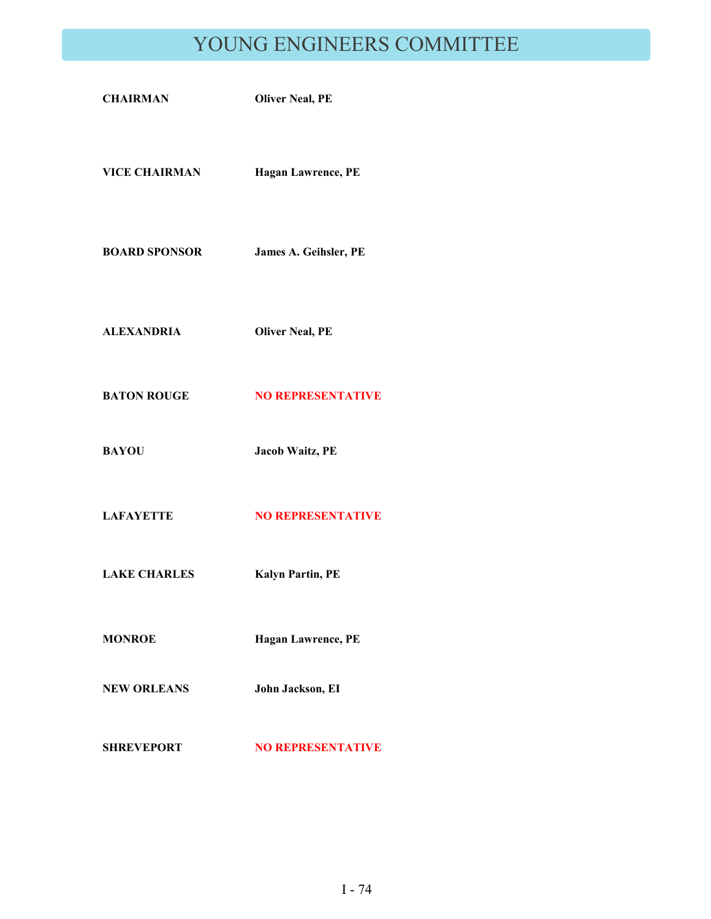# YOUNG ENGINEERS COMMITTEE

| <b>CHAIRMAN</b>      | <b>Oliver Neal, PE</b>    |
|----------------------|---------------------------|
| <b>VICE CHAIRMAN</b> | <b>Hagan Lawrence, PE</b> |
| <b>BOARD SPONSOR</b> | James A. Geihsler, PE     |
| ALEXANDRIA           | <b>Oliver Neal, PE</b>    |
| <b>BATON ROUGE</b>   | <b>NO REPRESENTATIVE</b>  |
| <b>BAYOU</b>         | Jacob Waitz, PE           |
| <b>LAFAYETTE</b>     | <b>NO REPRESENTATIVE</b>  |
| <b>LAKE CHARLES</b>  | <b>Kalyn Partin, PE</b>   |
| <b>MONROE</b>        | Hagan Lawrence, PE        |
| <b>NEW ORLEANS</b>   | John Jackson, EI          |
| <b>SHREVEPORT</b>    | <b>NO REPRESENTATIVE</b>  |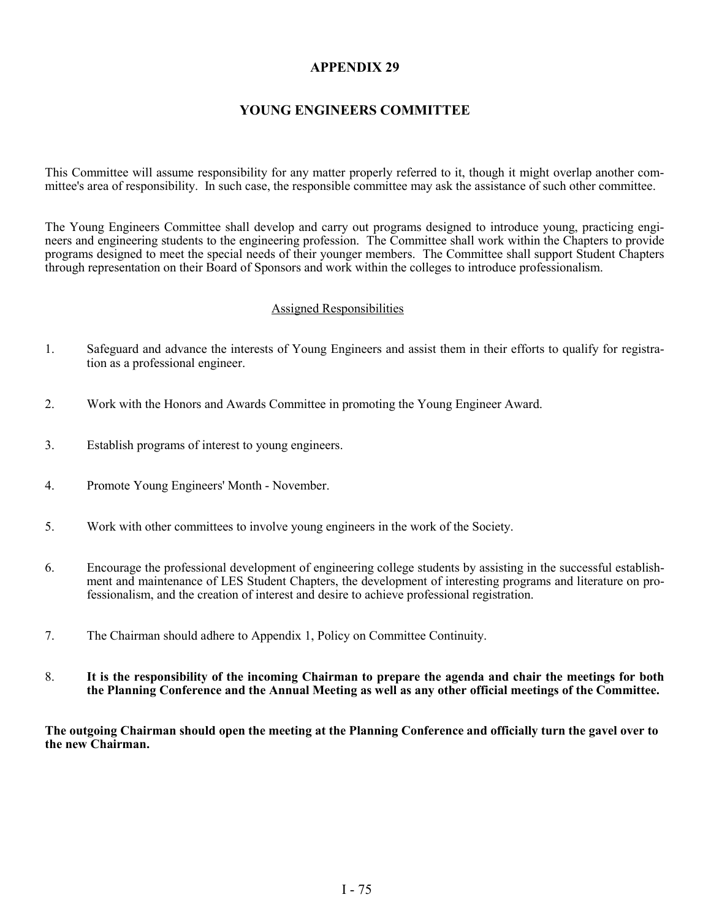## **APPENDIX 29**

### **YOUNG ENGINEERS COMMITTEE**

This Committee will assume responsibility for any matter properly referred to it, though it might overlap another committee's area of responsibility. In such case, the responsible committee may ask the assistance of such other committee.

The Young Engineers Committee shall develop and carry out programs designed to introduce young, practicing engineers and engineering students to the engineering profession. The Committee shall work within the Chapters to provide programs designed to meet the special needs of their younger members. The Committee shall support Student Chapters through representation on their Board of Sponsors and work within the colleges to introduce professionalism.

#### Assigned Responsibilities

- 1. Safeguard and advance the interests of Young Engineers and assist them in their efforts to qualify for registration as a professional engineer.
- 2. Work with the Honors and Awards Committee in promoting the Young Engineer Award.
- 3. Establish programs of interest to young engineers.
- 4. Promote Young Engineers' Month November.
- 5. Work with other committees to involve young engineers in the work of the Society.
- 6. Encourage the professional development of engineering college students by assisting in the successful establishment and maintenance of LES Student Chapters, the development of interesting programs and literature on professionalism, and the creation of interest and desire to achieve professional registration.
- 7. The Chairman should adhere to Appendix 1, Policy on Committee Continuity.
- 8. **It is the responsibility of the incoming Chairman to prepare the agenda and chair the meetings for both the Planning Conference and the Annual Meeting as well as any other official meetings of the Committee.**

**The outgoing Chairman should open the meeting at the Planning Conference and officially turn the gavel over to the new Chairman.**